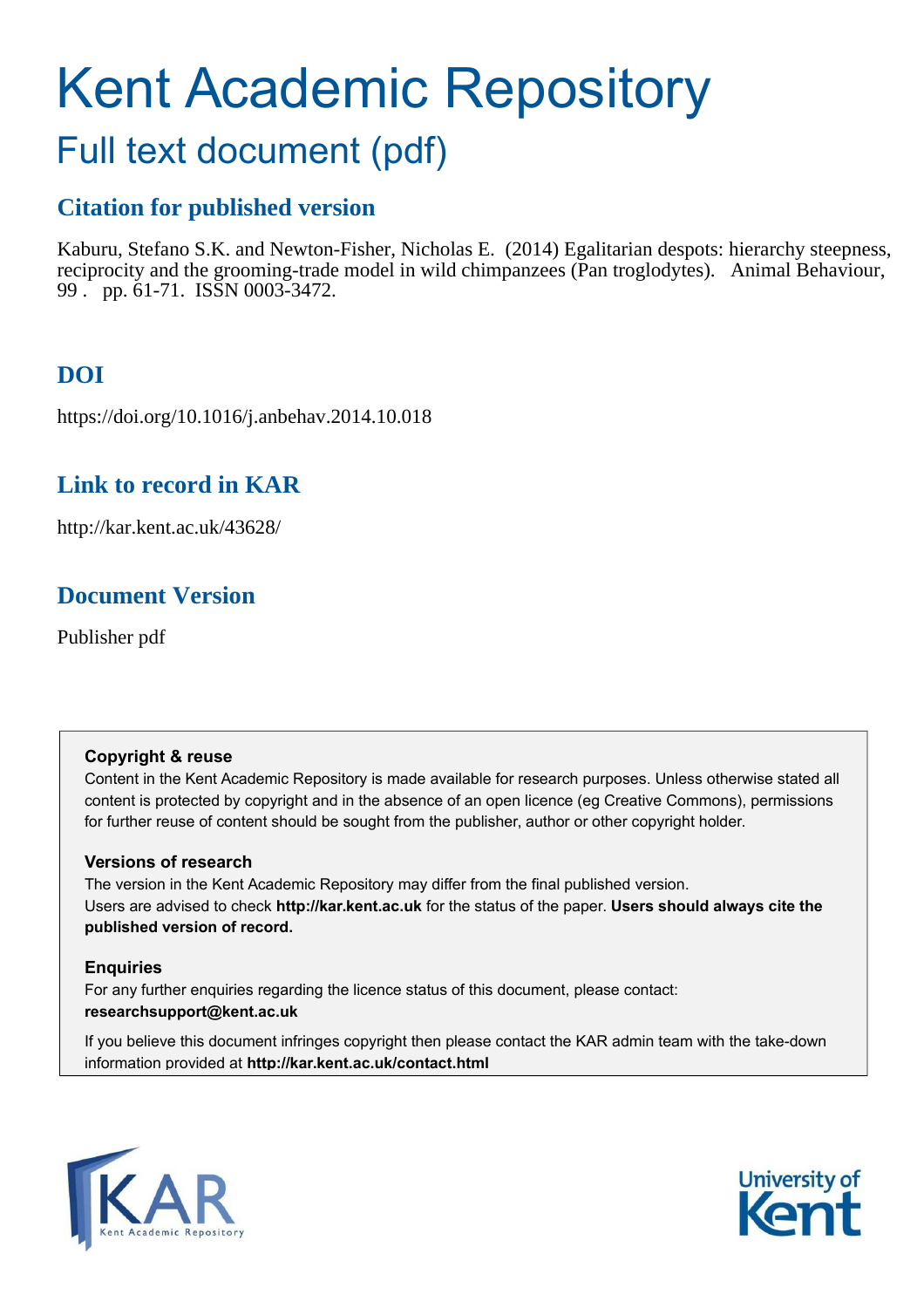# <span id="page-0-0"></span>Kent Academic Repository

# Full text document (pdf)

# **Citation for published version**

Kaburu, Stefano S.K. and Newton-Fisher, Nicholas E. (2014) Egalitarian despots: hierarchy steepness, reciprocity and the grooming-trade model in wild chimpanzees (Pan troglodytes). Animal Behaviour, 99 . pp. 61-71. ISSN 0003-3472.

# **DOI**

https://doi.org/10.1016/j.anbehav.2014.10.018

# **Link to record in KAR**

http://kar.kent.ac.uk/43628/

# **Document Version**

Publisher pdf

# **Copyright & reuse**

Content in the Kent Academic Repository is made available for research purposes. Unless otherwise stated all content is protected by copyright and in the absence of an open licence (eg Creative Commons), permissions for further reuse of content should be sought from the publisher, author or other copyright holder.

# **Versions of research**

The version in the Kent Academic Repository may differ from the final published version. Users are advised to check **http://kar.kent.ac.uk** for the status of the paper. **Users should always cite the published version of record.**

# **Enquiries**

For any further enquiries regarding the licence status of this document, please contact: **researchsupport@kent.ac.uk**

If you believe this document infringes copyright then please contact the KAR admin team with the take-down information provided at **http://kar.kent.ac.uk/contact.html**



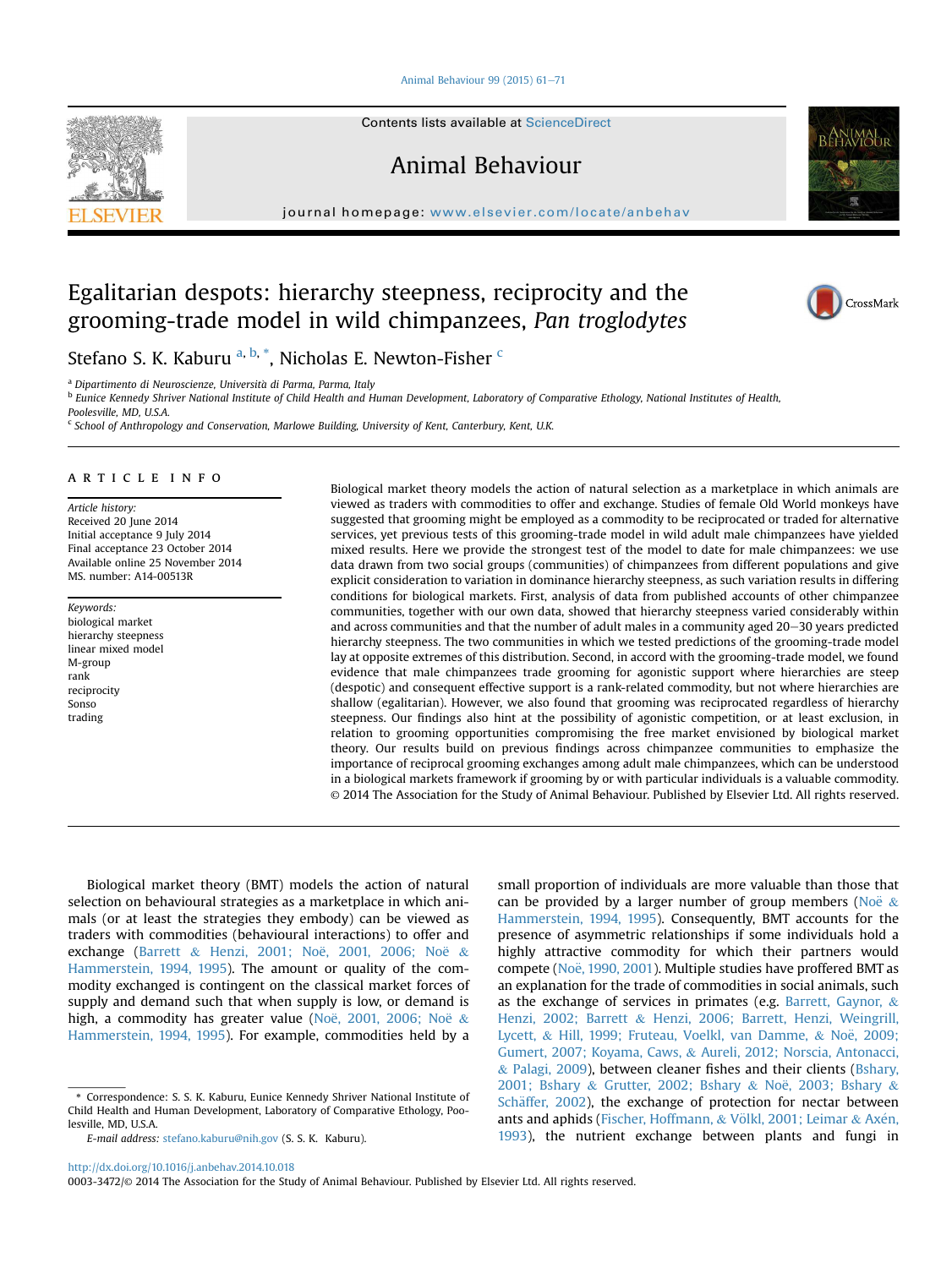[Animal Behaviour 99 \(2015\) 61](http://dx.doi.org/10.1016/j.anbehav.2014.10.018)-[71](http://dx.doi.org/10.1016/j.anbehav.2014.10.018)

Contents lists available at [ScienceDirect](www.sciencedirect.com/science/journal/00033472)

Animal Behaviour

journal homepage: [www.elsevier.com/locate/anbehav](http://www.elsevier.com/locate/anbehav)

# Egalitarian despots: hierarchy steepness, reciprocity and the grooming-trade model in wild chimpanzees, Pan troglodytes

Stef[a](#page-0-0)no S. K. Ka[b](#page-0-0)uru <sup>a, b, \*</sup>, Ni[c](#page-0-0)holas E. Newton-Fisher <sup>c</sup>

<sup>a</sup> Dipartimento di Neuroscienze, Universita di Parma, Parma, Italy

<sup>b</sup> Eunice Kennedy Shriver National Institute of Child Health and Human Development, Laboratory of Comparative Ethology, National Institutes of Health,

Poolesville, MD, U.S.A.

<sup>c</sup> School of Anthropology and Conservation, Marlowe Building, University of Kent, Canterbury, Kent, U.K.

article info

Article history: Received 20 June 2014 Initial acceptance 9 July 2014 Final acceptance 23 October 2014 Available online 25 November 2014 MS. number: A14-00513R

Keywords: biological market hierarchy steepness linear mixed model M-group rank reciprocity Sonso trading

Biological market theory models the action of natural selection as a marketplace in which animals are viewed as traders with commodities to offer and exchange. Studies of female Old World monkeys have suggested that grooming might be employed as a commodity to be reciprocated or traded for alternative services, yet previous tests of this grooming-trade model in wild adult male chimpanzees have yielded mixed results. Here we provide the strongest test of the model to date for male chimpanzees: we use data drawn from two social groups (communities) of chimpanzees from different populations and give explicit consideration to variation in dominance hierarchy steepness, as such variation results in differing conditions for biological markets. First, analysis of data from published accounts of other chimpanzee communities, together with our own data, showed that hierarchy steepness varied considerably within and across communities and that the number of adult males in a community aged 20-30 years predicted hierarchy steepness. The two communities in which we tested predictions of the grooming-trade model lay at opposite extremes of this distribution. Second, in accord with the grooming-trade model, we found evidence that male chimpanzees trade grooming for agonistic support where hierarchies are steep (despotic) and consequent effective support is a rank-related commodity, but not where hierarchies are shallow (egalitarian). However, we also found that grooming was reciprocated regardless of hierarchy steepness. Our findings also hint at the possibility of agonistic competition, or at least exclusion, in relation to grooming opportunities compromising the free market envisioned by biological market theory. Our results build on previous findings across chimpanzee communities to emphasize the importance of reciprocal grooming exchanges among adult male chimpanzees, which can be understood in a biological markets framework if grooming by or with particular individuals is a valuable commodity. © 2014 The Association for the Study of Animal Behaviour. Published by Elsevier Ltd. All rights reserved.

Biological market theory (BMT) models the action of natural selection on behavioural strategies as a marketplace in which animals (or at least the strategies they embody) can be viewed as traders with commodities (behavioural interactions) to offer and exchange ([Barrett](#page-8-0) & H[e](#page-8-0)nzi, 2001; Noë, 2001, 2006; Noë & [Hammerstein, 1994, 1995](#page-8-0)). The amount or quality of the commodity exchanged is contingent on the classical market forces of supply and demand such that when supply is low, or demand is high, a commodity has gr[e](#page-9-0)ater value (Noë, 2001, 2006; Noë  $\&$ [Hammerstein, 1994, 1995](#page-9-0)). For example, commodities held by a

\* Correspondence: S. S. K. Kaburu, Eunice Kennedy Shriver National Institute of Child Health and Human Development, Laboratory of Comparative Ethology, Poolesville, MD, U.S.A.

E-mail address: [stefano.kaburu@nih.gov](mailto:stefano.kaburu@nih.gov) (S. S. K. Kaburu).

small proportion of individuals are more valuable than those that can be provided by a larger number of group members (Noë  $&$ [Hammerstein, 1994, 1995\)](#page-9-0). Consequently, BMT accounts for the presence of asymmetric relationships if some individuals hold a highly attractive commodity for which their partners would compete (Noë, 1990, 2001). Multiple studies have proffered BMT as an explanation for the trade of commodities in social animals, such as the exchange of services in primates (e.g. [Barrett, Gaynor,](#page-8-0) & [Henzi, 2002; Barrett](#page-8-0) & [Henzi, 2006; Barrett, Henzi, Weingrill,](#page-8-0) [Lycett,](#page-8-0) & [Hill, 1999; Fruteau, Voelkl, van Damme,](#page-8-0) & [No](#page-8-0)ë[, 2009;](#page-8-0) [Gumert, 2007; Koyama, Caws,](#page-8-0) & [Aureli, 2012; Norscia, Antonacci,](#page-8-0) & [Palagi, 2009](#page-8-0)), between cleaner fishes and their clients [\(Bshary,](#page-8-0) [2001; Bshary](#page-8-0) & [Grutter, 2002; Bshary](#page-8-0) & [No](#page-8-0)ë[, 2003; Bshary](#page-8-0) & Schäffer, 2002), the exchange of protection for nectar between ants and aphids [\(Fischer, Hoffmann,](#page-8-0) & Völkl, 2001; Leimar & [Ax](#page-8-0)é[n,](#page-8-0) [1993\)](#page-8-0), the nutrient exchange between plants and fungi in



<sup>0003-3472/</sup>© 2014 The Association for the Study of Animal Behaviour. Published by Elsevier Ltd. All rights reserved.





CrossMark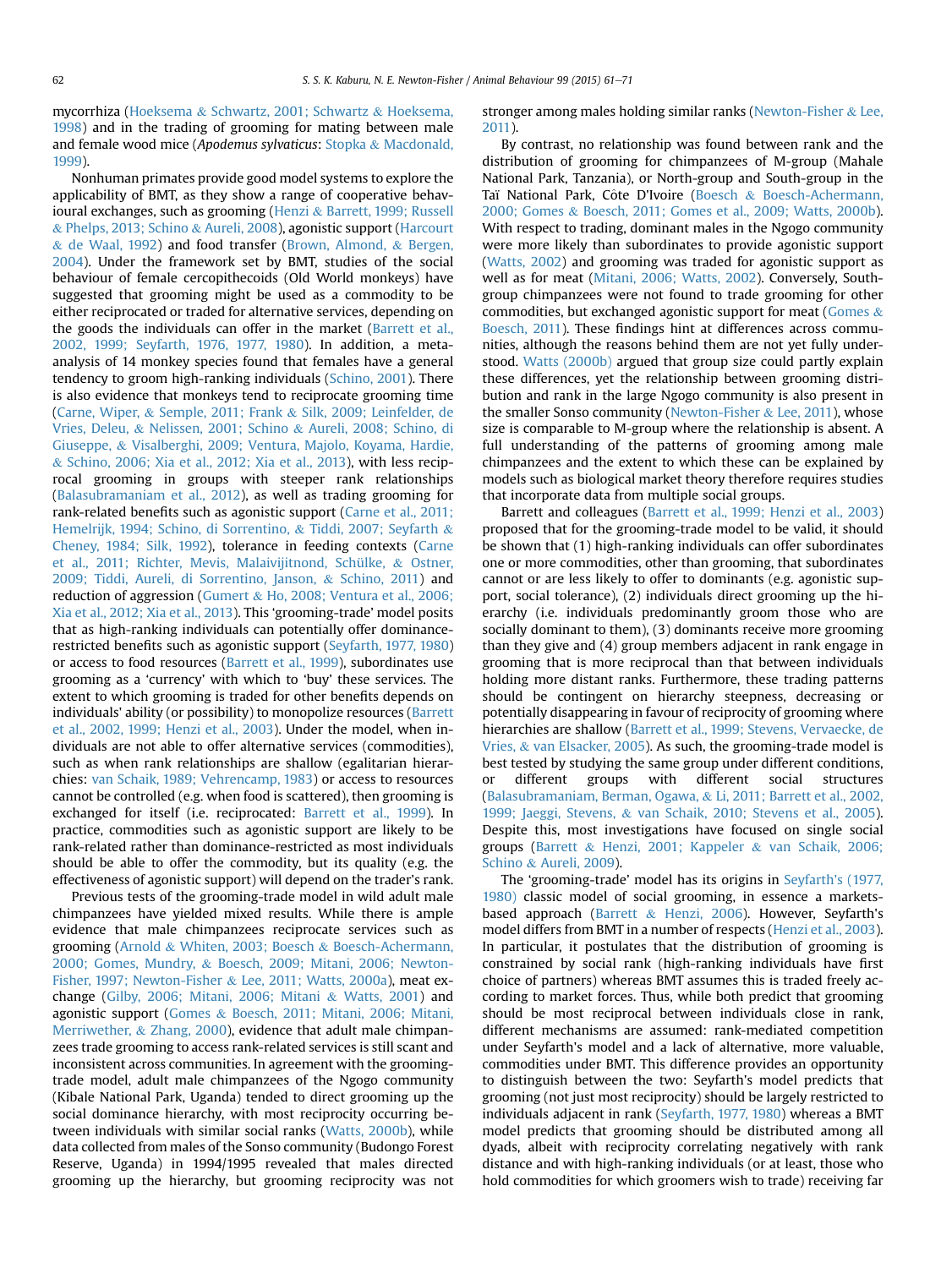mycorrhiza [\(Hoeksema](#page-8-0) & [Schwartz, 2001; Schwartz](#page-8-0) & [Hoeksema,](#page-8-0) [1998](#page-8-0)) and in the trading of grooming for mating between male and female wood mice (Apodemus sylvaticus: [Stopka](#page-9-0) & [Macdonald,](#page-9-0) [1999](#page-9-0)).

Nonhuman primates provide good model systems to explore the applicability of BMT, as they show a range of cooperative behavioural exchanges, such as grooming ([Henzi](#page-8-0) & [Barrett, 1999; Russell](#page-8-0) & [Phelps, 2013; Schino](#page-8-0) & [Aureli, 2008\)](#page-8-0), agonistic support [\(Harcourt](#page-8-0) & [de Waal, 1992](#page-8-0)) and food transfer ([Brown, Almond,](#page-8-0) & [Bergen,](#page-8-0) [2004](#page-8-0)). Under the framework set by BMT, studies of the social behaviour of female cercopithecoids (Old World monkeys) have suggested that grooming might be used as a commodity to be either reciprocated or traded for alternative services, depending on the goods the individuals can offer in the market [\(Barrett et al.,](#page-8-0) [2002, 1999; Seyfarth, 1976, 1977, 1980](#page-8-0)). In addition, a metaanalysis of 14 monkey species found that females have a general tendency to groom high-ranking individuals [\(Schino, 2001](#page-9-0)). There is also evidence that monkeys tend to reciprocate grooming time ([Carne, Wiper,](#page-8-0) & [Semple, 2011; Frank](#page-8-0) & [Silk, 2009; Leinfelder, de](#page-8-0) [Vries, Deleu,](#page-8-0) & [Nelissen, 2001; Schino](#page-8-0) & [Aureli, 2008; Schino, di](#page-8-0) [Giuseppe,](#page-8-0) & [Visalberghi, 2009; Ventura, Majolo, Koyama, Hardie,](#page-8-0) & [Schino, 2006; Xia et al., 2012; Xia et al., 2013\)](#page-8-0), with less reciprocal grooming in groups with steeper rank relationships ([Balasubramaniam et al., 2012\)](#page-8-0), as well as trading grooming for rank-related benefits such as agonistic support ([Carne et al., 2011;](#page-8-0) [Hemelrijk, 1994; Schino, di Sorrentino,](#page-8-0) & [Tiddi, 2007; Seyfarth](#page-8-0) & [Cheney, 1984; Silk, 1992\)](#page-8-0), tolerance in feeding contexts [\(Carne](#page-8-0) [et al., 2011; Richter, Mevis, Malaivijitnond, Schülke,](#page-8-0) & [Ostner,](#page-8-0) [2009; Tiddi, Aureli, di Sorrentino, Janson,](#page-8-0) & [Schino, 2011](#page-8-0)) and reduction of aggression ([Gumert](#page-8-0) & [Ho, 2008; Ventura et al., 2006;](#page-8-0) [Xia et al., 2012; Xia et al., 2013\)](#page-8-0). This 'grooming-trade' model posits that as high-ranking individuals can potentially offer dominancerestricted benefits such as agonistic support ([Seyfarth, 1977, 1980\)](#page-9-0) or access to food resources ([Barrett et al., 1999\)](#page-8-0), subordinates use grooming as a 'currency' with which to 'buy' these services. The extent to which grooming is traded for other benefits depends on individuals' ability (or possibility) to monopolize resources ([Barrett](#page-8-0) [et al., 2002, 1999; Henzi et al., 2003](#page-8-0)). Under the model, when individuals are not able to offer alternative services (commodities), such as when rank relationships are shallow (egalitarian hierarchies: [van Schaik, 1989; Vehrencamp, 1983\)](#page-9-0) or access to resources cannot be controlled (e.g. when food is scattered), then grooming is exchanged for itself (i.e. reciprocated: [Barrett et al., 1999\)](#page-8-0). In practice, commodities such as agonistic support are likely to be rank-related rather than dominance-restricted as most individuals should be able to offer the commodity, but its quality (e.g. the effectiveness of agonistic support) will depend on the trader's rank.

Previous tests of the grooming-trade model in wild adult male chimpanzees have yielded mixed results. While there is ample evidence that male chimpanzees reciprocate services such as grooming [\(Arnold](#page-8-0) & [Whiten, 2003; Boesch](#page-8-0) & [Boesch-Achermann,](#page-8-0) [2000; Gomes, Mundry,](#page-8-0) & [Boesch, 2009; Mitani, 2006; Newton-](#page-8-0)[Fisher, 1997; Newton-Fisher](#page-8-0) & [Lee, 2011; Watts, 2000a](#page-8-0)), meat exchange ([Gilby, 2006; Mitani, 2006; Mitani](#page-8-0) & [Watts, 2001\)](#page-8-0) and agonistic support ([Gomes](#page-8-0) & [Boesch, 2011; Mitani, 2006; Mitani,](#page-8-0) [Merriwether,](#page-8-0) & [Zhang, 2000\)](#page-8-0), evidence that adult male chimpanzees trade grooming to access rank-related services is still scant and inconsistent across communities. In agreement with the groomingtrade model, adult male chimpanzees of the Ngogo community (Kibale National Park, Uganda) tended to direct grooming up the social dominance hierarchy, with most reciprocity occurring between individuals with similar social ranks ([Watts, 2000b\)](#page-10-0), while data collected from males of the Sonso community (Budongo Forest Reserve, Uganda) in 1994/1995 revealed that males directed grooming up the hierarchy, but grooming reciprocity was not stronger among males holding similar ranks ([Newton-Fisher](#page-9-0) & [Lee,](#page-9-0) [2011\)](#page-9-0).

By contrast, no relationship was found between rank and the distribution of grooming for chimpanzees of M-group (Mahale National Park, Tanzania), or North-group and South-group in the Taï National Park, Côte D'Ivoire ([Boesch](#page-8-0) & [Boesch-Achermann,](#page-8-0) [2000; Gomes](#page-8-0) & [Boesch, 2011; Gomes et al., 2009; Watts, 2000b\)](#page-8-0). With respect to trading, dominant males in the Ngogo community were more likely than subordinates to provide agonistic support ([Watts, 2002](#page-10-0)) and grooming was traded for agonistic support as well as for meat ([Mitani, 2006; Watts, 2002](#page-9-0)). Conversely, Southgroup chimpanzees were not found to trade grooming for other commodities, but exchanged agonistic support for meat [\(Gomes](#page-8-0)  $\&$ [Boesch, 2011](#page-8-0)). These findings hint at differences across communities, although the reasons behind them are not yet fully understood. [Watts \(2000b\)](#page-10-0) argued that group size could partly explain these differences, yet the relationship between grooming distribution and rank in the large Ngogo community is also present in the smaller Sonso community ([Newton-Fisher](#page-9-0) & [Lee, 2011](#page-9-0)), whose size is comparable to M-group where the relationship is absent. A full understanding of the patterns of grooming among male chimpanzees and the extent to which these can be explained by models such as biological market theory therefore requires studies that incorporate data from multiple social groups.

Barrett and colleagues [\(Barrett et al., 1999; Henzi et al., 2003\)](#page-8-0) proposed that for the grooming-trade model to be valid, it should be shown that (1) high-ranking individuals can offer subordinates one or more commodities, other than grooming, that subordinates cannot or are less likely to offer to dominants (e.g. agonistic support, social tolerance), (2) individuals direct grooming up the hierarchy (i.e. individuals predominantly groom those who are socially dominant to them), (3) dominants receive more grooming than they give and (4) group members adjacent in rank engage in grooming that is more reciprocal than that between individuals holding more distant ranks. Furthermore, these trading patterns should be contingent on hierarchy steepness, decreasing or potentially disappearing in favour of reciprocity of grooming where hierarchies are shallow [\(Barrett et al., 1999; Stevens, Vervaecke, de](#page-8-0) [Vries,](#page-8-0) & [van Elsacker, 2005\)](#page-8-0). As such, the grooming-trade model is best tested by studying the same group under different conditions, or different groups with different social structures ([Balasubramaniam, Berman, Ogawa,](#page-8-0) & [Li, 2011; Barrett et al., 2002,](#page-8-0) [1999; Jaeggi, Stevens,](#page-8-0) & [van Schaik, 2010; Stevens et al., 2005\)](#page-8-0). Despite this, most investigations have focused on single social groups [\(Barrett](#page-8-0) & [Henzi, 2001; Kappeler](#page-8-0) & [van Schaik, 2006;](#page-8-0) [Schino](#page-8-0) & [Aureli, 2009\)](#page-8-0).

The 'grooming-trade' model has its origins in [Seyfarth's \(1977,](#page-9-0) [1980\)](#page-9-0) classic model of social grooming, in essence a marketsbased approach ([Barrett](#page-8-0) & [Henzi, 2006\)](#page-8-0). However, Seyfarth's model differs from BMT in a number of respects ([Henzi et al., 2003\)](#page-8-0). In particular, it postulates that the distribution of grooming is constrained by social rank (high-ranking individuals have first choice of partners) whereas BMT assumes this is traded freely according to market forces. Thus, while both predict that grooming should be most reciprocal between individuals close in rank, different mechanisms are assumed: rank-mediated competition under Seyfarth's model and a lack of alternative, more valuable, commodities under BMT. This difference provides an opportunity to distinguish between the two: Seyfarth's model predicts that grooming (not just most reciprocity) should be largely restricted to individuals adjacent in rank ([Seyfarth, 1977, 1980\)](#page-9-0) whereas a BMT model predicts that grooming should be distributed among all dyads, albeit with reciprocity correlating negatively with rank distance and with high-ranking individuals (or at least, those who hold commodities for which groomers wish to trade) receiving far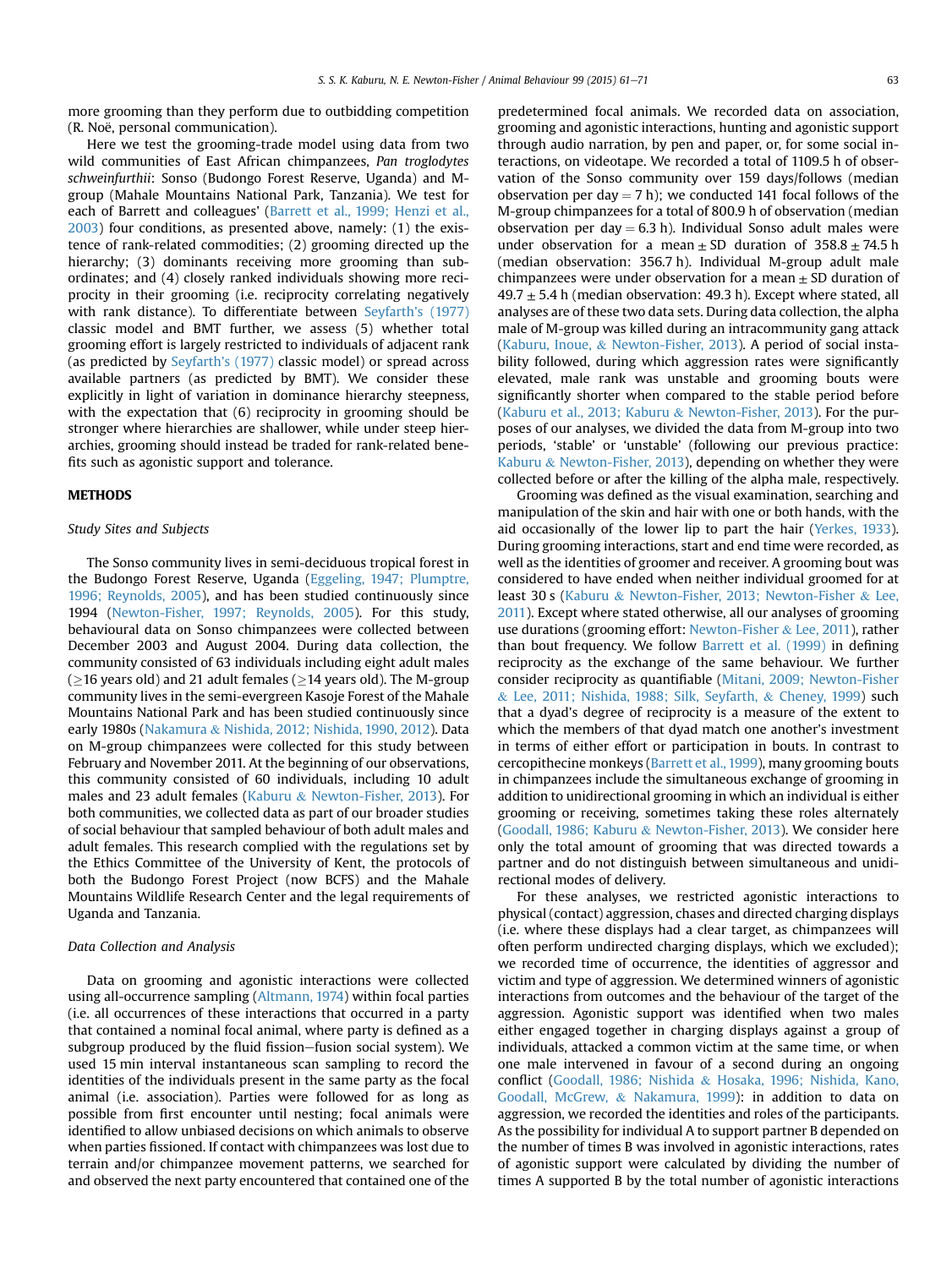more grooming than they perform due to outbidding competition (R. Noë, personal communication).

Here we test the grooming-trade model using data from two wild communities of East African chimpanzees, Pan troglodytes schweinfurthii: Sonso (Budongo Forest Reserve, Uganda) and Mgroup (Mahale Mountains National Park, Tanzania). We test for each of Barrett and colleagues' ([Barrett et al., 1999; Henzi et al.,](#page-8-0) [2003\)](#page-8-0) four conditions, as presented above, namely: (1) the existence of rank-related commodities; (2) grooming directed up the hierarchy; (3) dominants receiving more grooming than subordinates; and (4) closely ranked individuals showing more reciprocity in their grooming (i.e. reciprocity correlating negatively with rank distance). To differentiate between [Seyfarth's \(1977\)](#page-9-0) classic model and BMT further, we assess (5) whether total grooming effort is largely restricted to individuals of adjacent rank (as predicted by [Seyfarth's \(1977\)](#page-9-0) classic model) or spread across available partners (as predicted by BMT). We consider these explicitly in light of variation in dominance hierarchy steepness, with the expectation that (6) reciprocity in grooming should be stronger where hierarchies are shallower, while under steep hierarchies, grooming should instead be traded for rank-related benefits such as agonistic support and tolerance.

#### **METHODS**

#### Study Sites and Subjects

The Sonso community lives in semi-deciduous tropical forest in the Budongo Forest Reserve, Uganda [\(Eggeling, 1947; Plumptre,](#page-8-0) [1996; Reynolds, 2005](#page-8-0)), and has been studied continuously since 1994 [\(Newton-Fisher, 1997; Reynolds, 2005\)](#page-9-0). For this study, behavioural data on Sonso chimpanzees were collected between December 2003 and August 2004. During data collection, the community consisted of 63 individuals including eight adult males ( $\geq$ 16 years old) and 21 adult females ( $\geq$ 14 years old). The M-group community lives in the semi-evergreen Kasoje Forest of the Mahale Mountains National Park and has been studied continuously since early 1980s ([Nakamura](#page-9-0) & [Nishida, 2012; Nishida, 1990, 2012](#page-9-0)). Data on M-group chimpanzees were collected for this study between February and November 2011. At the beginning of our observations, this community consisted of 60 individuals, including 10 adult males and 23 adult females ([Kaburu](#page-9-0) & [Newton-Fisher, 2013\)](#page-9-0). For both communities, we collected data as part of our broader studies of social behaviour that sampled behaviour of both adult males and adult females. This research complied with the regulations set by the Ethics Committee of the University of Kent, the protocols of both the Budongo Forest Project (now BCFS) and the Mahale Mountains Wildlife Research Center and the legal requirements of Uganda and Tanzania.

#### Data Collection and Analysis

Data on grooming and agonistic interactions were collected using all-occurrence sampling [\(Altmann, 1974](#page-8-0)) within focal parties (i.e. all occurrences of these interactions that occurred in a party that contained a nominal focal animal, where party is defined as a subgroup produced by the fluid fission–fusion social system). We used 15 min interval instantaneous scan sampling to record the identities of the individuals present in the same party as the focal animal (i.e. association). Parties were followed for as long as possible from first encounter until nesting; focal animals were identified to allow unbiased decisions on which animals to observe when parties fissioned. If contact with chimpanzees was lost due to terrain and/or chimpanzee movement patterns, we searched for and observed the next party encountered that contained one of the predetermined focal animals. We recorded data on association, grooming and agonistic interactions, hunting and agonistic support through audio narration, by pen and paper, or, for some social interactions, on videotape. We recorded a total of 1109.5 h of observation of the Sonso community over 159 days/follows (median observation per day = 7 h); we conducted 141 focal follows of the M-group chimpanzees for a total of 800.9 h of observation (median observation per day  $= 6.3$  h). Individual Sonso adult males were under observation for a mean  $\pm$  SD duration of 358.8  $\pm$  74.5 h (median observation: 356.7 h). Individual M-group adult male chimpanzees were under observation for a mean  $\pm$  SD duration of  $49.7 \pm 5.4$  h (median observation: 49.3 h). Except where stated, all analyses are of these two data sets. During data collection, the alpha male of M-group was killed during an intracommunity gang attack ([Kaburu, Inoue,](#page-9-0) & [Newton-Fisher, 2013\)](#page-9-0). A period of social instability followed, during which aggression rates were significantly elevated, male rank was unstable and grooming bouts were significantly shorter when compared to the stable period before ([Kaburu et al., 2013; Kaburu](#page-9-0) & [Newton-Fisher, 2013](#page-9-0)). For the purposes of our analyses, we divided the data from M-group into two periods, 'stable' or 'unstable' (following our previous practice: [Kaburu](#page-9-0) & [Newton-Fisher, 2013](#page-9-0)), depending on whether they were collected before or after the killing of the alpha male, respectively.

Grooming was defined as the visual examination, searching and manipulation of the skin and hair with one or both hands, with the aid occasionally of the lower lip to part the hair ([Yerkes, 1933\)](#page-10-0). During grooming interactions, start and end time were recorded, as well as the identities of groomer and receiver. A grooming bout was considered to have ended when neither individual groomed for at least 30 s ([Kaburu](#page-9-0) & [Newton-Fisher, 2013; Newton-Fisher](#page-9-0) & [Lee,](#page-9-0) [2011](#page-9-0)). Except where stated otherwise, all our analyses of grooming use durations (grooming effort: [Newton-Fisher](#page-9-0) & [Lee, 2011](#page-9-0)), rather than bout frequency. We follow [Barrett et al. \(1999\)](#page-8-0) in defining reciprocity as the exchange of the same behaviour. We further consider reciprocity as quantifiable ([Mitani, 2009; Newton-Fisher](#page-9-0) & [Lee, 2011; Nishida, 1988; Silk, Seyfarth,](#page-9-0) & [Cheney, 1999\)](#page-9-0) such that a dyad's degree of reciprocity is a measure of the extent to which the members of that dyad match one another's investment in terms of either effort or participation in bouts. In contrast to cercopithecine monkeys [\(Barrett et al., 1999](#page-8-0)), many grooming bouts in chimpanzees include the simultaneous exchange of grooming in addition to unidirectional grooming in which an individual is either grooming or receiving, sometimes taking these roles alternately ([Goodall, 1986; Kaburu](#page-8-0) & [Newton-Fisher, 2013](#page-8-0)). We consider here only the total amount of grooming that was directed towards a partner and do not distinguish between simultaneous and unidirectional modes of delivery.

For these analyses, we restricted agonistic interactions to physical (contact) aggression, chases and directed charging displays (i.e. where these displays had a clear target, as chimpanzees will often perform undirected charging displays, which we excluded); we recorded time of occurrence, the identities of aggressor and victim and type of aggression. We determined winners of agonistic interactions from outcomes and the behaviour of the target of the aggression. Agonistic support was identified when two males either engaged together in charging displays against a group of individuals, attacked a common victim at the same time, or when one male intervened in favour of a second during an ongoing conflict [\(Goodall, 1986; Nishida](#page-8-0) & [Hosaka, 1996; Nishida, Kano,](#page-8-0) [Goodall, McGrew,](#page-8-0) & [Nakamura, 1999](#page-8-0)): in addition to data on aggression, we recorded the identities and roles of the participants. As the possibility for individual A to support partner B depended on the number of times B was involved in agonistic interactions, rates of agonistic support were calculated by dividing the number of times A supported B by the total number of agonistic interactions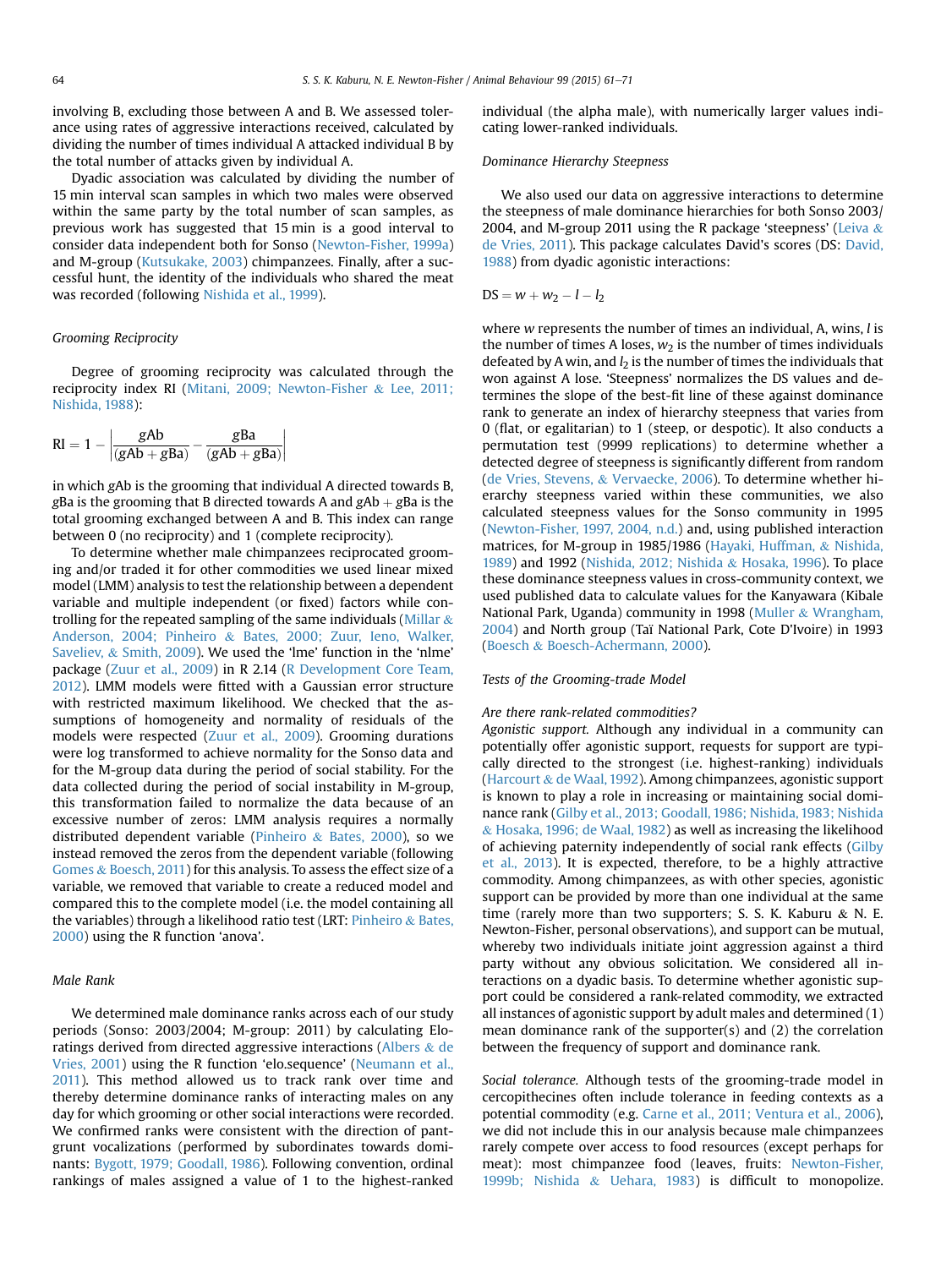<span id="page-4-0"></span>involving B, excluding those between A and B. We assessed tolerance using rates of aggressive interactions received, calculated by dividing the number of times individual A attacked individual B by the total number of attacks given by individual A.

Dyadic association was calculated by dividing the number of 15 min interval scan samples in which two males were observed within the same party by the total number of scan samples, as previous work has suggested that 15 min is a good interval to consider data independent both for Sonso ([Newton-Fisher, 1999a\)](#page-9-0) and M-group ([Kutsukake, 2003\)](#page-9-0) chimpanzees. Finally, after a successful hunt, the identity of the individuals who shared the meat was recorded (following [Nishida et al., 1999\)](#page-9-0).

#### Grooming Reciprocity

Degree of grooming reciprocity was calculated through the reciprocity index RI [\(Mitani, 2009; Newton-Fisher](#page-9-0) & [Lee, 2011;](#page-9-0) [Nishida, 1988\)](#page-9-0):

$$
RI = 1 - \left| \frac{gAb}{(gAb + gBa)} - \frac{gBa}{(gAb + gBa)} \right|
$$

in which gAb is the grooming that individual A directed towards B, gBa is the grooming that B directed towards A and  $gAb + gBa$  is the total grooming exchanged between A and B. This index can range between 0 (no reciprocity) and 1 (complete reciprocity).

To determine whether male chimpanzees reciprocated grooming and/or traded it for other commodities we used linear mixed model (LMM) analysis to test the relationship between a dependent variable and multiple independent (or fixed) factors while con-trolling for the repeated sampling of the same individuals [\(Millar](#page-9-0)  $\&$ [Anderson, 2004; Pinheiro](#page-9-0) & [Bates, 2000; Zuur, Ieno, Walker,](#page-9-0) [Saveliev,](#page-9-0) & [Smith, 2009\)](#page-9-0). We used the 'lme' function in the 'nlme' package [\(Zuur et al., 2009](#page-10-0)) in R 2.14 [\(R Development Core Team,](#page-9-0) [2012](#page-9-0)). LMM models were fitted with a Gaussian error structure with restricted maximum likelihood. We checked that the assumptions of homogeneity and normality of residuals of the models were respected ([Zuur et al., 2009](#page-10-0)). Grooming durations were log transformed to achieve normality for the Sonso data and for the M-group data during the period of social stability. For the data collected during the period of social instability in M-group, this transformation failed to normalize the data because of an excessive number of zeros: LMM analysis requires a normally distributed dependent variable [\(Pinheiro](#page-9-0) & [Bates, 2000](#page-9-0)), so we instead removed the zeros from the dependent variable (following [Gomes](#page-8-0) & [Boesch, 2011](#page-8-0)) for this analysis. To assess the effect size of a variable, we removed that variable to create a reduced model and compared this to the complete model (i.e. the model containing all the variables) through a likelihood ratio test (LRT: [Pinheiro](#page-9-0) & [Bates,](#page-9-0) [2000](#page-9-0)) using the R function 'anova'.

#### Male Rank

We determined male dominance ranks across each of our study periods (Sonso: 2003/2004; M-group: 2011) by calculating Eloratings derived from directed aggressive interactions [\(Albers](#page-8-0) & [de](#page-8-0) [Vries, 2001](#page-8-0)) using the R function 'elo.sequence' ([Neumann et al.,](#page-9-0) [2011\)](#page-9-0). This method allowed us to track rank over time and thereby determine dominance ranks of interacting males on any day for which grooming or other social interactions were recorded. We confirmed ranks were consistent with the direction of pantgrunt vocalizations (performed by subordinates towards dominants: [Bygott, 1979; Goodall, 1986\)](#page-8-0). Following convention, ordinal rankings of males assigned a value of 1 to the highest-ranked individual (the alpha male), with numerically larger values indicating lower-ranked individuals.

#### Dominance Hierarchy Steepness

We also used our data on aggressive interactions to determine the steepness of male dominance hierarchies for both Sonso 2003/ 2004, and M-group 2011 using the R package 'steepness' ([Leiva](#page-9-0)  $\&$ [de Vries, 2011](#page-9-0)). This package calculates David's scores (DS: [David,](#page-8-0) [1988](#page-8-0)) from dyadic agonistic interactions:

$$
DS = w + w_2 - l - l_2
$$

where w represents the number of times an individual, A, wins, l is the number of times A loses,  $w_2$  is the number of times individuals defeated by A win, and  $l_2$  is the number of times the individuals that won against A lose. 'Steepness' normalizes the DS values and determines the slope of the best-fit line of these against dominance rank to generate an index of hierarchy steepness that varies from 0 (flat, or egalitarian) to 1 (steep, or despotic). It also conducts a permutation test (9999 replications) to determine whether a detected degree of steepness is significantly different from random ([de Vries, Stevens,](#page-9-0) & [Vervaecke, 2006](#page-9-0)). To determine whether hierarchy steepness varied within these communities, we also calculated steepness values for the Sonso community in 1995 ([Newton-Fisher, 1997, 2004, n.d.](#page-9-0)) and, using published interaction matrices, for M-group in 1985/1986 ([Hayaki, Huffman,](#page-8-0) & [Nishida,](#page-8-0) [1989](#page-8-0)) and 1992 ([Nishida, 2012; Nishida](#page-9-0) & [Hosaka, 1996](#page-9-0)). To place these dominance steepness values in cross-community context, we used published data to calculate values for the Kanyawara (Kibale National Park, Uganda) community in 1998 [\(Muller](#page-9-0) & [Wrangham,](#page-9-0) [2004](#page-9-0)) and North group (Taï National Park, Cote D'Ivoire) in 1993 ([Boesch](#page-8-0) & [Boesch-Achermann, 2000\)](#page-8-0).

#### Tests of the Grooming-trade Model

#### Are there rank-related commodities?

Agonistic support. Although any individual in a community can potentially offer agonistic support, requests for support are typically directed to the strongest (i.e. highest-ranking) individuals ([Harcourt](#page-8-0) & [de Waal, 1992\)](#page-8-0). Among chimpanzees, agonistic support is known to play a role in increasing or maintaining social dominance rank [\(Gilby et al., 2013; Goodall, 1986; Nishida, 1983; Nishida](#page-8-0) & [Hosaka, 1996; de Waal, 1982\)](#page-8-0) as well as increasing the likelihood of achieving paternity independently of social rank effects [\(Gilby](#page-8-0) [et al., 2013](#page-8-0)). It is expected, therefore, to be a highly attractive commodity. Among chimpanzees, as with other species, agonistic support can be provided by more than one individual at the same time (rarely more than two supporters; S. S. K. Kaburu  $\&$  N. E. Newton-Fisher, personal observations), and support can be mutual, whereby two individuals initiate joint aggression against a third party without any obvious solicitation. We considered all interactions on a dyadic basis. To determine whether agonistic support could be considered a rank-related commodity, we extracted all instances of agonistic support by adult males and determined (1) mean dominance rank of the supporter(s) and (2) the correlation between the frequency of support and dominance rank.

Social tolerance. Although tests of the grooming-trade model in cercopithecines often include tolerance in feeding contexts as a potential commodity (e.g. [Carne et al., 2011; Ventura et al., 2006\)](#page-8-0), we did not include this in our analysis because male chimpanzees rarely compete over access to food resources (except perhaps for meat): most chimpanzee food (leaves, fruits: [Newton-Fisher,](#page-9-0) [1999b; Nishida](#page-9-0) & [Uehara, 1983\)](#page-9-0) is difficult to monopolize.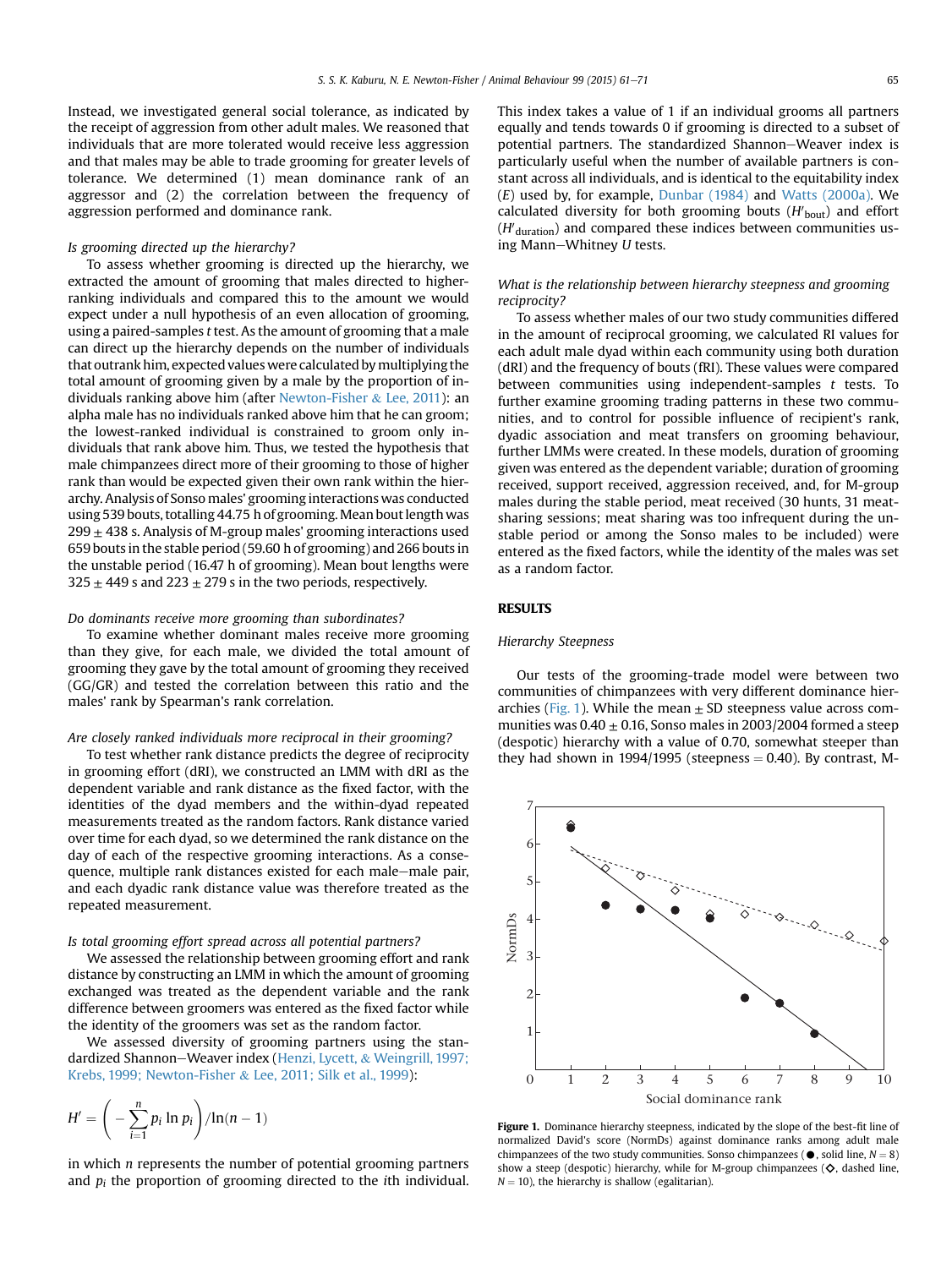Instead, we investigated general social tolerance, as indicated by the receipt of aggression from other adult males. We reasoned that individuals that are more tolerated would receive less aggression and that males may be able to trade grooming for greater levels of tolerance. We determined (1) mean dominance rank of an aggressor and (2) the correlation between the frequency of aggression performed and dominance rank.

#### Is grooming directed up the hierarchy?

To assess whether grooming is directed up the hierarchy, we extracted the amount of grooming that males directed to higherranking individuals and compared this to the amount we would expect under a null hypothesis of an even allocation of grooming, using a paired-samples t test. As the amount of grooming that a male can direct up the hierarchy depends on the number of individuals that outrank him, expected values were calculated by multiplying the total amount of grooming given by a male by the proportion of individuals ranking above him (after [Newton-Fisher](#page-9-0) & [Lee, 2011](#page-9-0)): an alpha male has no individuals ranked above him that he can groom; the lowest-ranked individual is constrained to groom only individuals that rank above him. Thus, we tested the hypothesis that male chimpanzees direct more of their grooming to those of higher rank than would be expected given their own rank within the hierarchy. Analysis of Sonso males' grooming interactions was conducted using 539 bouts, totalling 44.75 h of grooming. Mean bout length was  $299 \pm 438$  s. Analysis of M-group males' grooming interactions used 659 bouts in the stable period (59.60 h of grooming) and 266 bouts in the unstable period (16.47 h of grooming). Mean bout lengths were  $325 \pm 449$  s and  $223 \pm 279$  s in the two periods, respectively.

#### Do dominants receive more grooming than subordinates?

To examine whether dominant males receive more grooming than they give, for each male, we divided the total amount of grooming they gave by the total amount of grooming they received (GG/GR) and tested the correlation between this ratio and the males' rank by Spearman's rank correlation.

#### Are closely ranked individuals more reciprocal in their grooming?

To test whether rank distance predicts the degree of reciprocity in grooming effort (dRI), we constructed an LMM with dRI as the dependent variable and rank distance as the fixed factor, with the identities of the dyad members and the within-dyad repeated measurements treated as the random factors. Rank distance varied over time for each dyad, so we determined the rank distance on the day of each of the respective grooming interactions. As a consequence, multiple rank distances existed for each male-male pair, and each dyadic rank distance value was therefore treated as the repeated measurement.

#### Is total grooming effort spread across all potential partners?

We assessed the relationship between grooming effort and rank distance by constructing an LMM in which the amount of grooming exchanged was treated as the dependent variable and the rank difference between groomers was entered as the fixed factor while the identity of the groomers was set as the random factor.

We assessed diversity of grooming partners using the stan-dardized Shannon-Weaver index ([Henzi, Lycett,](#page-8-0) & [Weingrill, 1997;](#page-8-0) [Krebs, 1999; Newton-Fisher](#page-8-0) & [Lee, 2011; Silk et al., 1999\)](#page-8-0):

$$
H' = \left(-\sum_{i=1}^n p_i \ln p_i\right) / \ln(n-1)
$$

in which  $n$  represents the number of potential grooming partners and  $p_i$  the proportion of grooming directed to the *i*th individual. This index takes a value of 1 if an individual grooms all partners equally and tends towards 0 if grooming is directed to a subset of potential partners. The standardized Shannon-Weaver index is particularly useful when the number of available partners is constant across all individuals, and is identical to the equitability index (E) used by, for example, [Dunbar \(1984\)](#page-8-0) and [Watts \(2000a\).](#page-10-0) We calculated diversity for both grooming bouts  $(H'_{bout})$  and effort  $(H'_{\text{duration}})$  and compared these indices between communities using Mann-Whitney  $U$  tests.

#### What is the relationship between hierarchy steepness and grooming reciprocity?

To assess whether males of our two study communities differed in the amount of reciprocal grooming, we calculated RI values for each adult male dyad within each community using both duration (dRI) and the frequency of bouts (fRI). These values were compared between communities using independent-samples t tests. To further examine grooming trading patterns in these two communities, and to control for possible influence of recipient's rank, dyadic association and meat transfers on grooming behaviour, further LMMs were created. In these models, duration of grooming given was entered as the dependent variable; duration of grooming received, support received, aggression received, and, for M-group males during the stable period, meat received (30 hunts, 31 meatsharing sessions; meat sharing was too infrequent during the unstable period or among the Sonso males to be included) were entered as the fixed factors, while the identity of the males was set as a random factor.

#### **RESULTS**

7

#### Hierarchy Steepness

Our tests of the grooming-trade model were between two communities of chimpanzees with very different dominance hier-archies ([Fig. 1\)](#page-4-0). While the mean  $\pm$  SD steepness value across communities was  $0.40 \pm 0.16$ , Sonso males in 2003/2004 formed a steep (despotic) hierarchy with a value of 0.70, somewhat steeper than they had shown in 1994/1995 (steepness  $= 0.40$ ). By contrast, M-



Figure 1. Dominance hierarchy steepness, indicated by the slope of the best-fit line of normalized David's score (NormDs) against dominance ranks among adult male chimpanzees of the two study communities. Sonso chimpanzees ( $\bullet$ , solid line,  $N = 8$ ) show a steep (despotic) hierarchy, while for M-group chimpanzees ( $\diamond$ , dashed line,  $N = 10$ ), the hierarchy is shallow (egalitarian).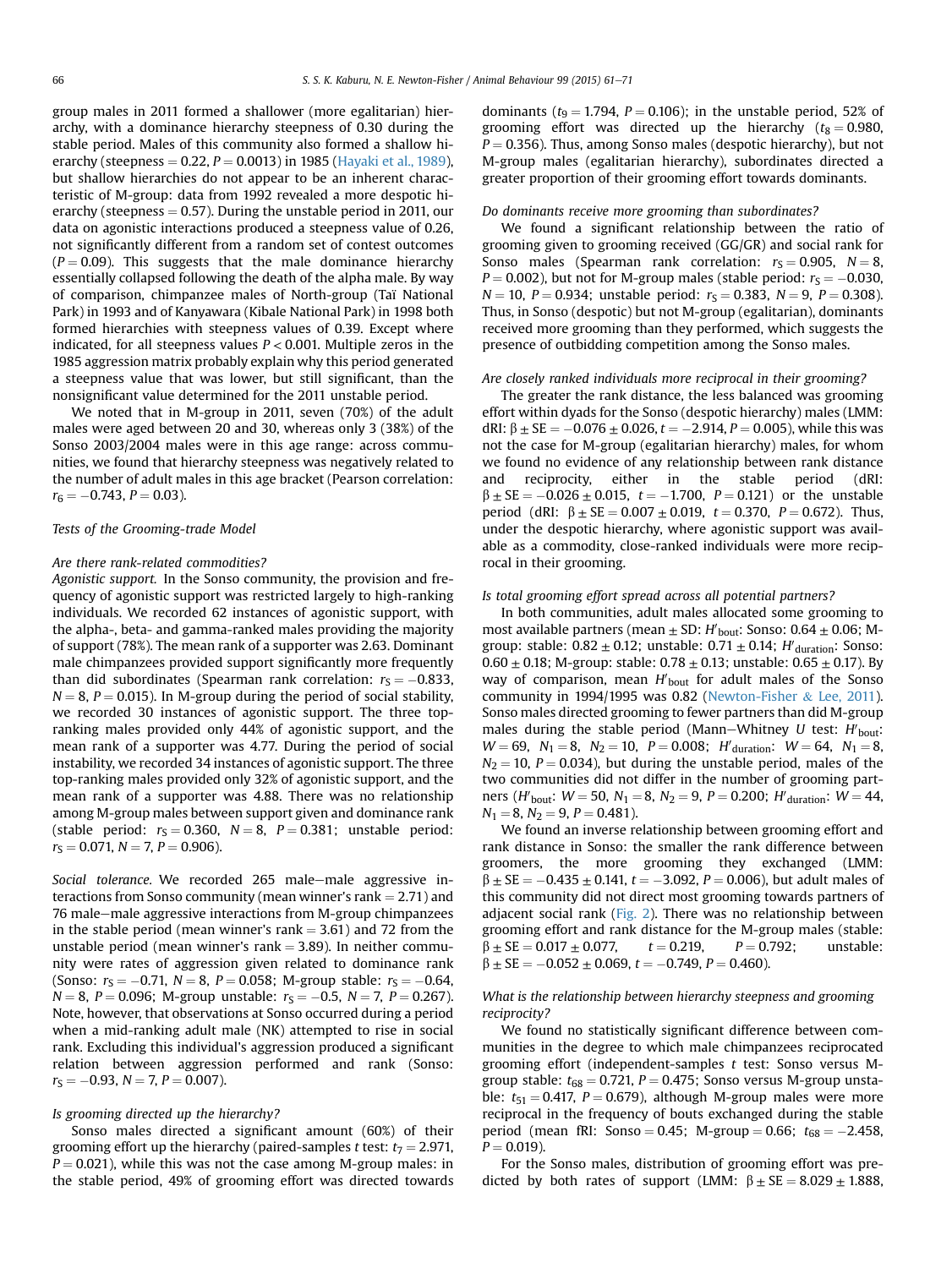group males in 2011 formed a shallower (more egalitarian) hierarchy, with a dominance hierarchy steepness of 0.30 during the stable period. Males of this community also formed a shallow hierarchy (steepness =  $0.22$ ,  $P = 0.0013$ ) in 1985 [\(Hayaki et al., 1989\)](#page-8-0), but shallow hierarchies do not appear to be an inherent characteristic of M-group: data from 1992 revealed a more despotic hierarchy (steepness  $= 0.57$ ). During the unstable period in 2011, our data on agonistic interactions produced a steepness value of 0.26, not significantly different from a random set of contest outcomes  $(P = 0.09)$ . This suggests that the male dominance hierarchy essentially collapsed following the death of the alpha male. By way of comparison, chimpanzee males of North-group (Taï National Park) in 1993 and of Kanyawara (Kibale National Park) in 1998 both formed hierarchies with steepness values of 0.39. Except where indicated, for all steepness values  $P < 0.001$ . Multiple zeros in the 1985 aggression matrix probably explain why this period generated a steepness value that was lower, but still significant, than the nonsignificant value determined for the 2011 unstable period.

We noted that in M-group in 2011, seven (70%) of the adult males were aged between 20 and 30, whereas only 3 (38%) of the Sonso 2003/2004 males were in this age range: across communities, we found that hierarchy steepness was negatively related to the number of adult males in this age bracket (Pearson correlation:  $r_6 = -0.743$ ,  $P = 0.03$ ).

#### Tests of the Grooming-trade Model

#### Are there rank-related commodities?

Agonistic support. In the Sonso community, the provision and frequency of agonistic support was restricted largely to high-ranking individuals. We recorded 62 instances of agonistic support, with the alpha-, beta- and gamma-ranked males providing the majority of support (78%). The mean rank of a supporter was 2.63. Dominant male chimpanzees provided support significantly more frequently than did subordinates (Spearman rank correlation:  $r<sub>S</sub> = -0.833$ ,  $N = 8$ ,  $P = 0.015$ ). In M-group during the period of social stability, we recorded 30 instances of agonistic support. The three topranking males provided only 44% of agonistic support, and the mean rank of a supporter was 4.77. During the period of social instability, we recorded 34 instances of agonistic support. The three top-ranking males provided only 32% of agonistic support, and the mean rank of a supporter was 4.88. There was no relationship among M-group males between support given and dominance rank (stable period:  $r_S = 0.360$ ,  $N = 8$ ,  $P = 0.381$ ; unstable period:  $r_S = 0.071$ ,  $N = 7$ ,  $P = 0.906$ ).

Social tolerance. We recorded 265 male-male aggressive interactions from Sonso community (mean winner's rank  $= 2.71$ ) and 76 male–male aggressive interactions from M-group chimpanzees in the stable period (mean winner's rank  $=$  3.61) and 72 from the unstable period (mean winner's rank  $=$  3.89). In neither community were rates of aggression given related to dominance rank (Sonso:  $r_S = -0.71$ ,  $N = 8$ ,  $P = 0.058$ ; M-group stable:  $r_S = -0.64$ ,  $N = 8$ , P = 0.096; M-group unstable:  $r_S = -0.5$ ,  $N = 7$ , P = 0.267). Note, however, that observations at Sonso occurred during a period when a mid-ranking adult male (NK) attempted to rise in social rank. Excluding this individual's aggression produced a significant relation between aggression performed and rank (Sonso:  $r<sub>S</sub> = -0.93, N = 7, P = 0.007$ ).

#### Is grooming directed up the hierarchy?

Sonso males directed a significant amount (60%) of their grooming effort up the hierarchy (paired-samples t test:  $t_7 = 2.971$ ,  $P = 0.021$ ), while this was not the case among M-group males: in the stable period, 49% of grooming effort was directed towards dominants ( $t_9 = 1.794$ ,  $P = 0.106$ ); in the unstable period, 52% of grooming effort was directed up the hierarchy ( $t_8 = 0.980$ ,  $P = 0.356$ ). Thus, among Sonso males (despotic hierarchy), but not M-group males (egalitarian hierarchy), subordinates directed a greater proportion of their grooming effort towards dominants.

#### Do dominants receive more grooming than subordinates?

We found a significant relationship between the ratio of grooming given to grooming received (GG/GR) and social rank for Sonso males (Spearman rank correlation:  $r_S = 0.905$ ,  $N = 8$ ,  $P = 0.002$ ), but not for M-group males (stable period:  $r_s = -0.030$ ,  $N = 10$ ,  $P = 0.934$ ; unstable period:  $r<sub>S</sub> = 0.383$ ,  $N = 9$ ,  $P = 0.308$ ). Thus, in Sonso (despotic) but not M-group (egalitarian), dominants received more grooming than they performed, which suggests the presence of outbidding competition among the Sonso males.

#### Are closely ranked individuals more reciprocal in their grooming?

The greater the rank distance, the less balanced was grooming effort within dyads for the Sonso (despotic hierarchy) males (LMM: dRI:  $\beta \pm SE = -0.076 \pm 0.026$ ,  $t = -2.914$ ,  $P = 0.005$ ), while this was not the case for M-group (egalitarian hierarchy) males, for whom we found no evidence of any relationship between rank distance and reciprocity, either in the stable period (dRI:  $\beta \pm SE = -0.026 \pm 0.015$ ,  $t = -1.700$ ,  $P = 0.121$ ) or the unstable period (dRI:  $\beta \pm SE = 0.007 \pm 0.019$ ,  $t = 0.370$ ,  $P = 0.672$ ). Thus, under the despotic hierarchy, where agonistic support was available as a commodity, close-ranked individuals were more reciprocal in their grooming.

#### Is total grooming effort spread across all potential partners?

In both communities, adult males allocated some grooming to most available partners (mean  $\pm$  SD:  $H'_{\text{bout}}$ : Sonso: 0.64  $\pm$  0.06; Mgroup: stable:  $0.82 \pm 0.12$ ; unstable:  $0.71 \pm 0.14$ ;  $H'_{\text{duration}}$ : Sonso:  $0.60 \pm 0.18$ ; M-group: stable:  $0.78 \pm 0.13$ ; unstable:  $0.65 \pm 0.17$ ). By way of comparison, mean  $H'_{\text{bout}}$  for adult males of the Sonso community in 1994/1995 was 0.82 [\(Newton-Fisher](#page-9-0) & [Lee, 2011\)](#page-9-0). Sonso males directed grooming to fewer partners than did M-group males during the stable period (Mann-Whitney  $U$  test:  $H'_{\text{bout}}$ :  $W = 69$ ,  $N_1 = 8$ ,  $N_2 = 10$ ,  $P = 0.008$ ;  $H'_{\text{duration}}$ :  $W = 64$ ,  $N_1 = 8$ ,  $N_2 = 10$ ,  $P = 0.034$ ), but during the unstable period, males of the two communities did not differ in the number of grooming partners ( $H'_{\text{bout}}$ :  $W = 50$ ,  $N_1 = 8$ ,  $N_2 = 9$ ,  $P = 0.200$ ;  $H'_{\text{duration}}$ :  $W = 44$ ,  $N_1 = 8$ ,  $N_2 = 9$ ,  $P = 0.481$ ).

We found an inverse relationship between grooming effort and rank distance in Sonso: the smaller the rank difference between groomers, the more grooming they exchanged (LMM:  $\beta \pm SE = -0.435 \pm 0.141$ ,  $t = -3.092$ ,  $P = 0.006$ ), but adult males of this community did not direct most grooming towards partners of adjacent social rank (Fig. 2). There was no relationship between grooming effort and rank distance for the M-group males (stable:  $\beta \pm SE = 0.017 \pm 0.077$ ,  $t = 0.219$ ,  $P = 0.792$ ; unstable:  $\beta \pm SE = -0.052 \pm 0.069$ ,  $t = -0.749$ ,  $P = 0.460$ ).

#### What is the relationship between hierarchy steepness and grooming reciprocity?

We found no statistically significant difference between communities in the degree to which male chimpanzees reciprocated grooming effort (independent-samples t test: Sonso versus Mgroup stable:  $t_{68} = 0.721$ ,  $P = 0.475$ ; Sonso versus M-group unstable:  $t_{51} = 0.417$ ,  $P = 0.679$ ), although M-group males were more reciprocal in the frequency of bouts exchanged during the stable period (mean fRI: Sonso = 0.45; M-group = 0.66;  $t_{68} = -2.458$ ,  $P = 0.019$ ).

For the Sonso males, distribution of grooming effort was predicted by both rates of support (LMM:  $\beta \pm SE = 8.029 \pm 1.888$ ,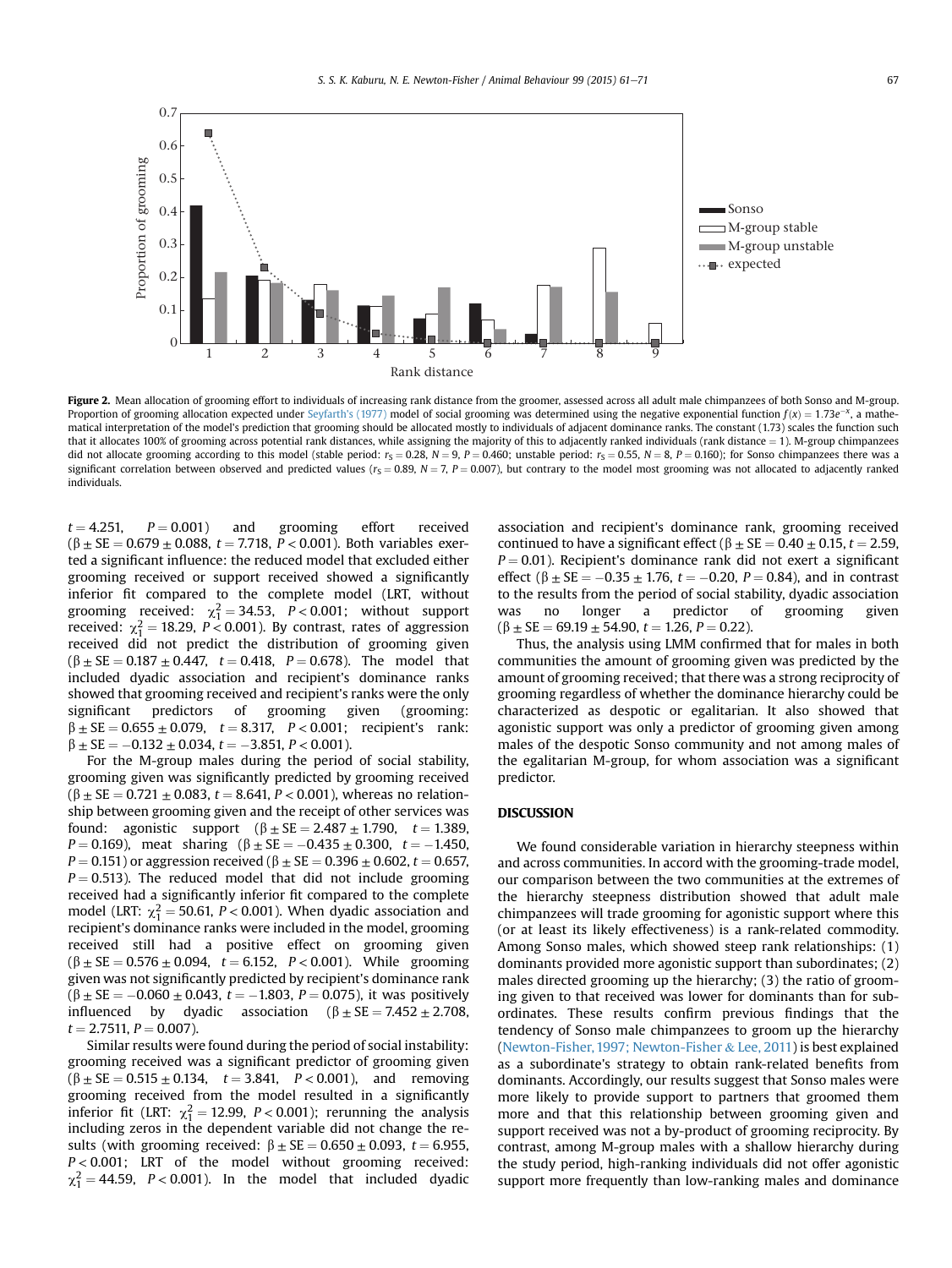

Figure 2. Mean allocation of grooming effort to individuals of increasing rank distance from the groomer, assessed across all adult male chimpanzees of both Sonso and M-group. Proportion of grooming allocation expected under [Seyfarth's \(1977\)](#page-9-0) model of social grooming was determined using the negative exponential function  $f(x) = 1.73e^{-x}$ , a mathematical interpretation of the model's prediction that grooming should be allocated mostly to individuals of adjacent dominance ranks. The constant (1.73) scales the function such that it allocates 100% of grooming across potential rank distances, while assigning the majority of this to adjacently ranked individuals (rank distance = 1). M-group chimpanzees did not allocate grooming according to this model (stable period:  $r_S = 0.28$ ,  $N = 9$ ,  $P = 0.460$ ; unstable period:  $r_S = 0.55$ ,  $N = 8$ ,  $P = 0.160$ ); for Sonso chimpanzees there was a significant correlation between observed and predicted values ( $r_S = 0.89$ ,  $N = 7$ ,  $P = 0.007$ ), but contrary to the model most grooming was not allocated to adjacently ranked individuals.

 $t = 4.251$ ,  $P = 0.001$  and grooming effort received  $(\beta \pm SE = 0.679 \pm 0.088, t = 7.718, P < 0.001)$ . Both variables exerted a significant influence: the reduced model that excluded either grooming received or support received showed a significantly inferior fit compared to the complete model (LRT, without grooming received:  $\chi_1^2 = 34.53$ ,  $P < 0.001$ ; without support received:  $\chi_1^2 = 18.29$ ,  $P < 0.001$ ). By contrast, rates of aggression received did not predict the distribution of grooming given  $(\beta \pm SE = 0.187 \pm 0.447, t = 0.418, P = 0.678)$ . The model that included dyadic association and recipient's dominance ranks showed that grooming received and recipient's ranks were the only significant predictors of grooming given (grooming:  $\beta \pm SE = 0.655 \pm 0.079$ ,  $t = 8.317$ ,  $P < 0.001$ ; recipient's rank:  $\beta \pm SE = -0.132 \pm 0.034$ ,  $t = -3.851$ ,  $P < 0.001$ ).

For the M-group males during the period of social stability, grooming given was significantly predicted by grooming received  $(\beta \pm SE = 0.721 \pm 0.083, t = 8.641, P < 0.001)$ , whereas no relationship between grooming given and the receipt of other services was found: agonistic support  $(\beta \pm SE = 2.487 \pm 1.790, t = 1.389,$  $P = 0.169$ ), meat sharing  $(\beta \pm SE = -0.435 \pm 0.300, t = -1.450,$  $P = 0.151$ ) or aggression received ( $\beta \pm SE = 0.396 \pm 0.602$ ,  $t = 0.657$ ,  $P = 0.513$ ). The reduced model that did not include grooming received had a significantly inferior fit compared to the complete model (LRT:  $\chi_1^2 = 50.61$ ,  $P < 0.001$ ). When dyadic association and recipient's dominance ranks were included in the model, grooming received still had a positive effect on grooming given  $(\beta \pm SE = 0.576 \pm 0.094, t = 6.152, P < 0.001)$ . While grooming given was not significantly predicted by recipient's dominance rank  $(\beta \pm SE = -0.060 \pm 0.043, t = -1.803, P = 0.075)$ , it was positively influenced by dyadic association  $(\beta \pm SE = 7.452 \pm 2.708,$  $t = 2.7511$ ,  $P = 0.007$ ).

Similar results were found during the period of social instability: grooming received was a significant predictor of grooming given  $(\beta \pm SE = 0.515 \pm 0.134, t = 3.841, P < 0.001)$ , and removing grooming received from the model resulted in a significantly inferior fit (LRT:  $\chi_1^2 = 12.99$ ,  $P < 0.001$ ); rerunning the analysis including zeros in the dependent variable did not change the results (with grooming received:  $\beta \pm SE = 0.650 \pm 0.093$ ,  $t = 6.955$ ,  $P < 0.001$ ; LRT of the model without grooming received:  $\chi_1^2 = 44.59$ ,  $P < 0.001$ ). In the model that included dyadic

association and recipient's dominance rank, grooming received continued to have a significant effect ( $\beta \pm SE = 0.40 \pm 0.15$ ,  $t = 2.59$ ,  $P = 0.01$ ). Recipient's dominance rank did not exert a significant effect  $(\beta \pm SE = -0.35 \pm 1.76, t = -0.20, P = 0.84)$ , and in contrast to the results from the period of social stability, dyadic association was no longer a predictor of grooming given  $(\beta \pm SE = 69.19 \pm 54.90, t = 1.26, P = 0.22).$ 

Thus, the analysis using LMM confirmed that for males in both communities the amount of grooming given was predicted by the amount of grooming received; that there was a strong reciprocity of grooming regardless of whether the dominance hierarchy could be characterized as despotic or egalitarian. It also showed that agonistic support was only a predictor of grooming given among males of the despotic Sonso community and not among males of the egalitarian M-group, for whom association was a significant predictor.

#### **DISCUSSION**

We found considerable variation in hierarchy steepness within and across communities. In accord with the grooming-trade model, our comparison between the two communities at the extremes of the hierarchy steepness distribution showed that adult male chimpanzees will trade grooming for agonistic support where this (or at least its likely effectiveness) is a rank-related commodity. Among Sonso males, which showed steep rank relationships: (1) dominants provided more agonistic support than subordinates; (2) males directed grooming up the hierarchy; (3) the ratio of grooming given to that received was lower for dominants than for subordinates. These results confirm previous findings that the tendency of Sonso male chimpanzees to groom up the hierarchy ([Newton-Fisher, 1997; Newton-Fisher](#page-9-0) & [Lee, 2011\)](#page-9-0) is best explained as a subordinate's strategy to obtain rank-related benefits from dominants. Accordingly, our results suggest that Sonso males were more likely to provide support to partners that groomed them more and that this relationship between grooming given and support received was not a by-product of grooming reciprocity. By contrast, among M-group males with a shallow hierarchy during the study period, high-ranking individuals did not offer agonistic support more frequently than low-ranking males and dominance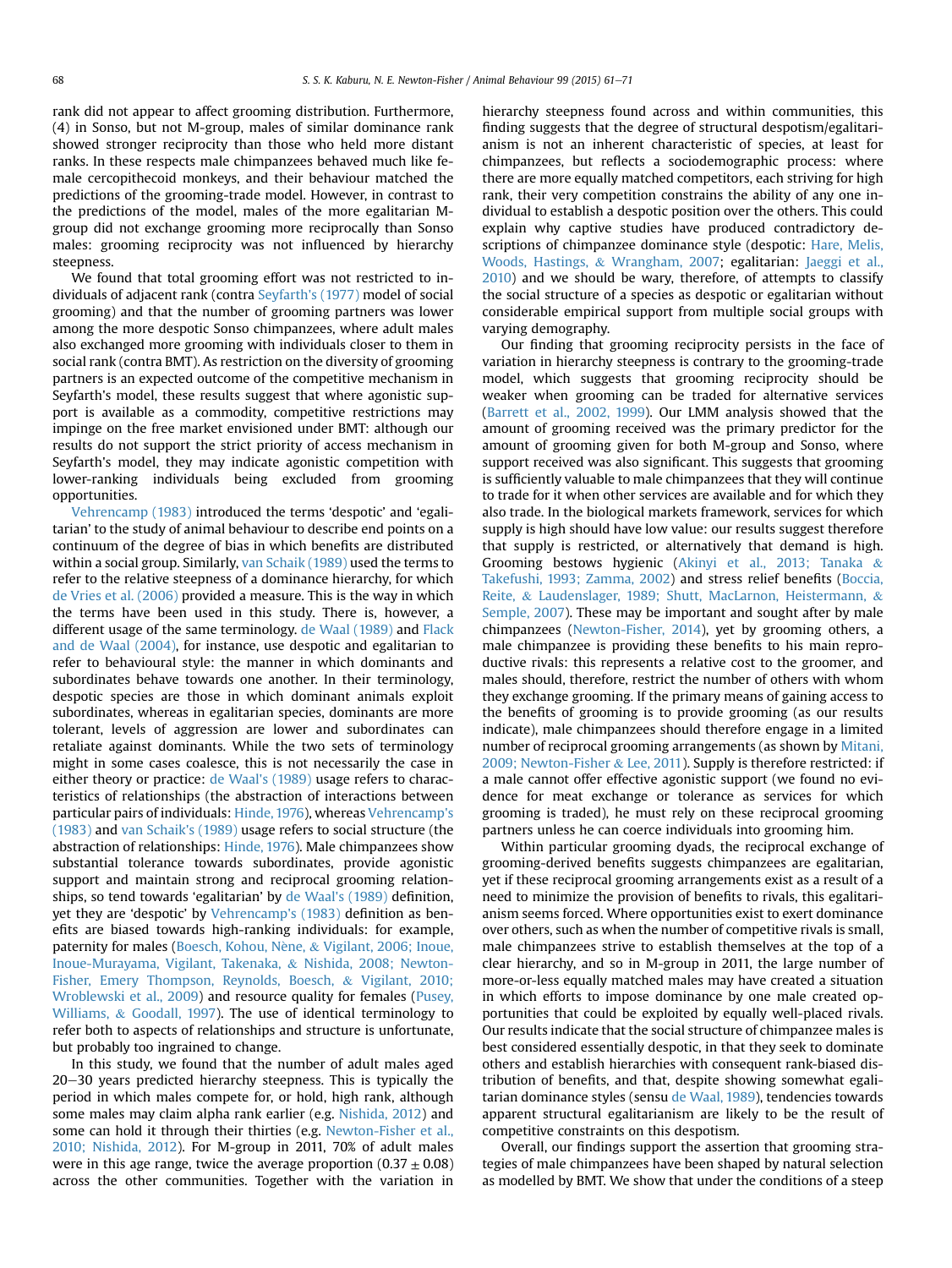<span id="page-8-0"></span>rank did not appear to affect grooming distribution. Furthermore, (4) in Sonso, but not M-group, males of similar dominance rank showed stronger reciprocity than those who held more distant ranks. In these respects male chimpanzees behaved much like female cercopithecoid monkeys, and their behaviour matched the predictions of the grooming-trade model. However, in contrast to the predictions of the model, males of the more egalitarian Mgroup did not exchange grooming more reciprocally than Sonso males: grooming reciprocity was not influenced by hierarchy steepness.

We found that total grooming effort was not restricted to individuals of adjacent rank (contra [Seyfarth's \(1977\)](#page-9-0) model of social grooming) and that the number of grooming partners was lower among the more despotic Sonso chimpanzees, where adult males also exchanged more grooming with individuals closer to them in social rank (contra BMT). As restriction on the diversity of grooming partners is an expected outcome of the competitive mechanism in Seyfarth's model, these results suggest that where agonistic support is available as a commodity, competitive restrictions may impinge on the free market envisioned under BMT: although our results do not support the strict priority of access mechanism in Seyfarth's model, they may indicate agonistic competition with lower-ranking individuals being excluded from grooming opportunities.

[Vehrencamp \(1983\)](#page-9-0) introduced the terms 'despotic' and 'egalitarian' to the study of animal behaviour to describe end points on a continuum of the degree of bias in which benefits are distributed within a social group. Similarly, [van Schaik \(1989\)](#page-9-0) used the terms to refer to the relative steepness of a dominance hierarchy, for which [de Vries et al. \(2006\)](#page-9-0) provided a measure. This is the way in which the terms have been used in this study. There is, however, a different usage of the same terminology. [de Waal \(1989\)](#page-10-0) and Flack and de Waal (2004), for instance, use despotic and egalitarian to refer to behavioural style: the manner in which dominants and subordinates behave towards one another. In their terminology, despotic species are those in which dominant animals exploit subordinates, whereas in egalitarian species, dominants are more tolerant, levels of aggression are lower and subordinates can retaliate against dominants. While the two sets of terminology might in some cases coalesce, this is not necessarily the case in either theory or practice: [de Waal's \(1989\)](#page-10-0) usage refers to characteristics of relationships (the abstraction of interactions between particular pairs of individuals: Hinde, 1976), whereas [Vehrencamp's](#page-9-0) [\(1983\)](#page-9-0) and [van Schaik's \(1989\)](#page-9-0) usage refers to social structure (the abstraction of relationships: Hinde, 1976). Male chimpanzees show substantial tolerance towards subordinates, provide agonistic support and maintain strong and reciprocal grooming relationships, so tend towards 'egalitarian' by [de Waal's \(1989\)](#page-10-0) definition, yet they are 'despotic' by [Vehrencamp's \(1983\)](#page-9-0) definition as benefits are biased towards high-ranking individuals: for example, paternity for males (Boesch, Kohou, Nène, & Vigilant, 2006; Inoue, Inoue-Murayama, Vigilant, Takenaka, & Nishida, 2008; Newton-Fisher, Emery Thompson, Reynolds, Boesch, & Vigilant, 2010; Wroblewski et al., 2009) and resource quality for females [\(Pusey,](#page-9-0) [Williams,](#page-9-0) & [Goodall, 1997](#page-9-0)). The use of identical terminology to refer both to aspects of relationships and structure is unfortunate, but probably too ingrained to change.

In this study, we found that the number of adult males aged  $20-30$  years predicted hierarchy steepness. This is typically the period in which males compete for, or hold, high rank, although some males may claim alpha rank earlier (e.g. [Nishida, 2012\)](#page-9-0) and some can hold it through their thirties (e.g. [Newton-Fisher et al.,](#page-9-0) [2010; Nishida, 2012\)](#page-9-0). For M-group in 2011, 70% of adult males were in this age range, twice the average proportion  $(0.37 \pm 0.08)$ across the other communities. Together with the variation in hierarchy steepness found across and within communities, this finding suggests that the degree of structural despotism/egalitarianism is not an inherent characteristic of species, at least for chimpanzees, but reflects a sociodemographic process: where there are more equally matched competitors, each striving for high rank, their very competition constrains the ability of any one individual to establish a despotic position over the others. This could explain why captive studies have produced contradictory descriptions of chimpanzee dominance style (despotic: Hare, Melis, Woods, Hastings, & Wrangham, 2007; egalitarian: [Jaeggi et al.,](#page-9-0) [2010\)](#page-9-0) and we should be wary, therefore, of attempts to classify the social structure of a species as despotic or egalitarian without considerable empirical support from multiple social groups with varying demography.

Our finding that grooming reciprocity persists in the face of variation in hierarchy steepness is contrary to the grooming-trade model, which suggests that grooming reciprocity should be weaker when grooming can be traded for alternative services (Barrett et al., 2002, 1999). Our LMM analysis showed that the amount of grooming received was the primary predictor for the amount of grooming given for both M-group and Sonso, where support received was also significant. This suggests that grooming is sufficiently valuable to male chimpanzees that they will continue to trade for it when other services are available and for which they also trade. In the biological markets framework, services for which supply is high should have low value: our results suggest therefore that supply is restricted, or alternatively that demand is high. Grooming bestows hygienic (Akinyi et al., 2013; Tanaka & Takefushi, 1993; Zamma, 2002) and stress relief benefits (Boccia, Reite, & Laudenslager, 1989; Shutt, MacLarnon, Heistermann, & Semple, 2007). These may be important and sought after by male chimpanzees ([Newton-Fisher, 2014\)](#page-9-0), yet by grooming others, a male chimpanzee is providing these benefits to his main reproductive rivals: this represents a relative cost to the groomer, and males should, therefore, restrict the number of others with whom they exchange grooming. If the primary means of gaining access to the benefits of grooming is to provide grooming (as our results indicate), male chimpanzees should therefore engage in a limited number of reciprocal grooming arrangements (as shown by [Mitani,](#page-9-0) [2009; Newton-Fisher](#page-9-0) & [Lee, 2011\)](#page-9-0). Supply is therefore restricted: if a male cannot offer effective agonistic support (we found no evidence for meat exchange or tolerance as services for which grooming is traded), he must rely on these reciprocal grooming partners unless he can coerce individuals into grooming him.

Within particular grooming dyads, the reciprocal exchange of grooming-derived benefits suggests chimpanzees are egalitarian, yet if these reciprocal grooming arrangements exist as a result of a need to minimize the provision of benefits to rivals, this egalitarianism seems forced. Where opportunities exist to exert dominance over others, such as when the number of competitive rivals is small, male chimpanzees strive to establish themselves at the top of a clear hierarchy, and so in M-group in 2011, the large number of more-or-less equally matched males may have created a situation in which efforts to impose dominance by one male created opportunities that could be exploited by equally well-placed rivals. Our results indicate that the social structure of chimpanzee males is best considered essentially despotic, in that they seek to dominate others and establish hierarchies with consequent rank-biased distribution of benefits, and that, despite showing somewhat egalitarian dominance styles (sensu [de Waal, 1989\)](#page-10-0), tendencies towards apparent structural egalitarianism are likely to be the result of competitive constraints on this despotism.

Overall, our findings support the assertion that grooming strategies of male chimpanzees have been shaped by natural selection as modelled by BMT. We show that under the conditions of a steep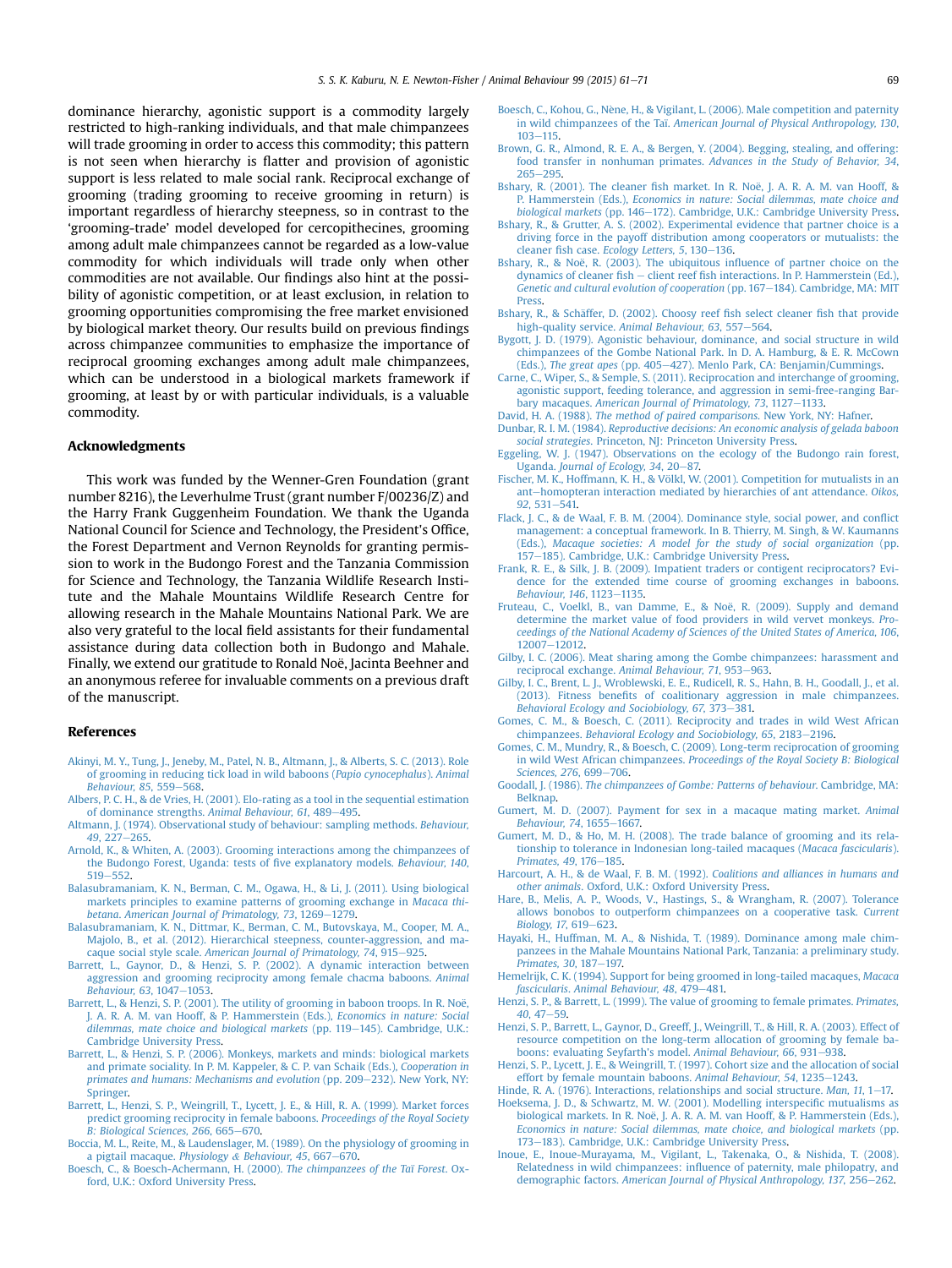<span id="page-9-0"></span>dominance hierarchy, agonistic support is a commodity largely restricted to high-ranking individuals, and that male chimpanzees will trade grooming in order to access this commodity; this pattern is not seen when hierarchy is flatter and provision of agonistic support is less related to male social rank. Reciprocal exchange of grooming (trading grooming to receive grooming in return) is important regardless of hierarchy steepness, so in contrast to the 'grooming-trade' model developed for cercopithecines, grooming among adult male chimpanzees cannot be regarded as a low-value commodity for which individuals will trade only when other commodities are not available. Our findings also hint at the possibility of agonistic competition, or at least exclusion, in relation to grooming opportunities compromising the free market envisioned by biological market theory. Our results build on previous findings across chimpanzee communities to emphasize the importance of reciprocal grooming exchanges among adult male chimpanzees, which can be understood in a biological markets framework if grooming, at least by or with particular individuals, is a valuable commodity.

#### Acknowledgments

This work was funded by the Wenner-Gren Foundation (grant number 8216), the Leverhulme Trust (grant number F/00236/Z) and the Harry Frank Guggenheim Foundation. We thank the Uganda National Council for Science and Technology, the President's Office, the Forest Department and Vernon Reynolds for granting permission to work in the Budongo Forest and the Tanzania Commission for Science and Technology, the Tanzania Wildlife Research Institute and the Mahale Mountains Wildlife Research Centre for allowing research in the Mahale Mountains National Park. We are also very grateful to the local field assistants for their fundamental assistance during data collection both in Budongo and Mahale. Finally, we extend our gratitude to Ronald Noë, Jacinta Beehner and an anonymous referee for invaluable comments on a previous draft of the manuscript.

#### References

- [Akinyi, M. Y., Tung, J., Jeneby, M., Patel, N. B., Altmann, J., & Alberts, S. C. \(2013\). Role](http://refhub.elsevier.com/S0003-3472(14)00404-7/sref1) [of grooming in reducing tick load in wild baboons \(](http://refhub.elsevier.com/S0003-3472(14)00404-7/sref1)Papio cynocephalus). Animal [Behaviour, 85](http://refhub.elsevier.com/S0003-3472(14)00404-7/sref1), 559-[568.](http://refhub.elsevier.com/S0003-3472(14)00404-7/sref1)
- [Albers, P. C. H., & de Vries, H. \(2001\). Elo-rating as a tool in the sequential estimation](http://refhub.elsevier.com/S0003-3472(14)00404-7/sref2) [of dominance strengths.](http://refhub.elsevier.com/S0003-3472(14)00404-7/sref2) Animal Behaviour, 61, 489-[495](http://refhub.elsevier.com/S0003-3472(14)00404-7/sref2).
- [Altmann, J. \(1974\). Observational study of behaviour: sampling methods.](http://refhub.elsevier.com/S0003-3472(14)00404-7/sref3) Behaviour,  $49.227 - 265.$  $49.227 - 265.$
- [Arnold, K., & Whiten, A. \(2003\). Grooming interactions among the chimpanzees of](http://refhub.elsevier.com/S0003-3472(14)00404-7/sref4) [the Budongo Forest, Uganda: tests of](http://refhub.elsevier.com/S0003-3472(14)00404-7/sref4) five explanatory models. Behaviour, 140,  $519 - 552.$  $519 - 552.$  $519 - 552.$  $519 - 552.$
- [Balasubramaniam, K. N., Berman, C. M., Ogawa, H., & Li, J. \(2011\). Using biological](http://refhub.elsevier.com/S0003-3472(14)00404-7/sref5) [markets principles to examine patterns of grooming exchange in](http://refhub.elsevier.com/S0003-3472(14)00404-7/sref5) Macaca thi-betana. [American Journal of Primatology, 73](http://refhub.elsevier.com/S0003-3472(14)00404-7/sref5), 1269-[1279](http://refhub.elsevier.com/S0003-3472(14)00404-7/sref5).
- [Balasubramaniam, K. N., Dittmar, K., Berman, C. M., Butovskaya, M., Cooper, M. A.,](http://refhub.elsevier.com/S0003-3472(14)00404-7/sref6) [Majolo, B., et al. \(2012\). Hierarchical steepness, counter-aggression, and ma-](http://refhub.elsevier.com/S0003-3472(14)00404-7/sref6)caque social style scale. [American Journal of Primatology, 74](http://refhub.elsevier.com/S0003-3472(14)00404-7/sref6), 915-[925.](http://refhub.elsevier.com/S0003-3472(14)00404-7/sref6)
- [Barrett, L., Gaynor, D., & Henzi, S. P. \(2002\). A dynamic interaction between](http://refhub.elsevier.com/S0003-3472(14)00404-7/sref7) [aggression and grooming reciprocity among female chacma baboons.](http://refhub.elsevier.com/S0003-3472(14)00404-7/sref7) Animal [Behaviour, 63](http://refhub.elsevier.com/S0003-3472(14)00404-7/sref7), 1047-[1053.](http://refhub.elsevier.com/S0003-3472(14)00404-7/sref7)
- Barrett, L., & Henzi, S. P. (2001). The utility of grooming in baboon troops. In R. Noë, [J. A. R. A. M. van Hooff, & P. Hammerstein \(Eds.\),](http://refhub.elsevier.com/S0003-3472(14)00404-7/sref8) Economics in nature: Social [dilemmas, mate choice and biological markets](http://refhub.elsevier.com/S0003-3472(14)00404-7/sref8) (pp. 119-[145\). Cambridge, U.K.:](http://refhub.elsevier.com/S0003-3472(14)00404-7/sref8) [Cambridge University Press](http://refhub.elsevier.com/S0003-3472(14)00404-7/sref8).
- [Barrett, L., & Henzi, S. P. \(2006\). Monkeys, markets and minds: biological markets](http://refhub.elsevier.com/S0003-3472(14)00404-7/sref9) [and primate sociality. In P. M. Kappeler, & C. P. van Schaik \(Eds.\),](http://refhub.elsevier.com/S0003-3472(14)00404-7/sref9) Cooperation in [primates and humans: Mechanisms and evolution](http://refhub.elsevier.com/S0003-3472(14)00404-7/sref9) (pp. 209-[232\). New York, NY:](http://refhub.elsevier.com/S0003-3472(14)00404-7/sref9) **Springer**
- [Barrett, L., Henzi, S. P., Weingrill, T., Lycett, J. E., & Hill, R. A. \(1999\). Market forces](http://refhub.elsevier.com/S0003-3472(14)00404-7/sref10) [predict grooming reciprocity in female baboons.](http://refhub.elsevier.com/S0003-3472(14)00404-7/sref10) Proceedings of the Royal Society [B: Biological Sciences, 266](http://refhub.elsevier.com/S0003-3472(14)00404-7/sref10), 665-[670.](http://refhub.elsevier.com/S0003-3472(14)00404-7/sref10)
- [Boccia, M. L., Reite, M., & Laudenslager, M. \(1989\). On the physiology of grooming in](http://refhub.elsevier.com/S0003-3472(14)00404-7/sref11) [a pigtail macaque.](http://refhub.elsevier.com/S0003-3472(14)00404-7/sref11) Physiology & [Behaviour, 45](http://refhub.elsevier.com/S0003-3472(14)00404-7/sref11), 667-[670.](http://refhub.elsevier.com/S0003-3472(14)00404-7/sref11)
- [Boesch, C., & Boesch-Achermann, H. \(2000\).](http://refhub.elsevier.com/S0003-3472(14)00404-7/sref12) The chimpanzees of the Taï Forest. Ox[ford, U.K.: Oxford University Press.](http://refhub.elsevier.com/S0003-3472(14)00404-7/sref12)
- Boesch, C., Kohou, G., Nène, H., & Vigilant, L. (2006). Male competition and paternity in wild chimpanzees of the Taï. [American Journal of Physical Anthropology, 130](http://refhub.elsevier.com/S0003-3472(14)00404-7/sref13),  $103 - 115$  $103 - 115$  $103 - 115$ .
- [Brown, G. R., Almond, R. E. A., & Bergen, Y. \(2004\). Begging, stealing, and offering:](http://refhub.elsevier.com/S0003-3472(14)00404-7/sref14) [food transfer in nonhuman primates.](http://refhub.elsevier.com/S0003-3472(14)00404-7/sref14) Advances in the Study of Behavior, 34, [265](http://refhub.elsevier.com/S0003-3472(14)00404-7/sref14)e[295](http://refhub.elsevier.com/S0003-3472(14)00404-7/sref14).
- [Bshary, R. \(2001\). The cleaner](http://refhub.elsevier.com/S0003-3472(14)00404-7/sref15) fish market. In R. Noë, J. A. R. A. M. van Hooff, & P. Hammerstein (Eds.), [Economics in nature: Social dilemmas, mate choice and](http://refhub.elsevier.com/S0003-3472(14)00404-7/sref15) [biological markets](http://refhub.elsevier.com/S0003-3472(14)00404-7/sref15) (pp. 146–[172\). Cambridge, U.K.: Cambridge University Press](http://refhub.elsevier.com/S0003-3472(14)00404-7/sref15).
- [Bshary, R., & Grutter, A. S. \(2002\). Experimental evidence that partner choice is a](http://refhub.elsevier.com/S0003-3472(14)00404-7/sref16) [driving force in the payoff distribution among cooperators or mutualists: the](http://refhub.elsevier.com/S0003-3472(14)00404-7/sref16) cleaner fish case. Ecology Letters,  $5, 130-136$  $5, 130-136$ .
- Bshary, R., & Noë, R. (2003). The ubiquitous infl[uence of partner choice on the](http://refhub.elsevier.com/S0003-3472(14)00404-7/sref17) [dynamics of cleaner](http://refhub.elsevier.com/S0003-3472(14)00404-7/sref17) fish  $-$  client reef fi[sh interactions. In P. Hammerstein \(Ed.\),](http://refhub.elsevier.com/S0003-3472(14)00404-7/sref17) [Genetic and cultural evolution of cooperation](http://refhub.elsevier.com/S0003-3472(14)00404-7/sref17) (pp. 167-[184\). Cambridge, MA: MIT](http://refhub.elsevier.com/S0003-3472(14)00404-7/sref17) **[Press](http://refhub.elsevier.com/S0003-3472(14)00404-7/sref17)**
- [Bshary, R., & Sch](http://refhub.elsevier.com/S0003-3472(14)00404-7/sref18)ä[ffer, D. \(2002\). Choosy reef](http://refhub.elsevier.com/S0003-3472(14)00404-7/sref18) fish select cleaner fish that provide high-quality service. [Animal Behaviour, 63](http://refhub.elsevier.com/S0003-3472(14)00404-7/sref18), 557-[564.](http://refhub.elsevier.com/S0003-3472(14)00404-7/sref18)
- [Bygott, J. D. \(1979\). Agonistic behaviour, dominance, and social structure in wild](http://refhub.elsevier.com/S0003-3472(14)00404-7/sref19) [chimpanzees of the Gombe National Park. In D. A. Hamburg, & E. R. McCown](http://refhub.elsevier.com/S0003-3472(14)00404-7/sref19) (Eds.), [The great apes](http://refhub.elsevier.com/S0003-3472(14)00404-7/sref19) (pp. 405-[427\). Menlo Park, CA: Benjamin/Cummings.](http://refhub.elsevier.com/S0003-3472(14)00404-7/sref19)
- [Carne, C., Wiper, S., & Semple, S. \(2011\). Reciprocation and interchange of grooming,](http://refhub.elsevier.com/S0003-3472(14)00404-7/sref20) [agonistic support, feeding tolerance, and aggression in semi-free-ranging Bar-](http://refhub.elsevier.com/S0003-3472(14)00404-7/sref20)bary macaques. [American Journal of Primatology, 73](http://refhub.elsevier.com/S0003-3472(14)00404-7/sref20), 1127-[1133](http://refhub.elsevier.com/S0003-3472(14)00404-7/sref20).
- David, H. A. (1988). [The method of paired comparisons](http://refhub.elsevier.com/S0003-3472(14)00404-7/sref21). New York, NY: Hafner.
- Dunbar, R. I. M. (1984). [Reproductive decisions: An economic analysis of gelada baboon](http://refhub.elsevier.com/S0003-3472(14)00404-7/sref22) social strategies[. Princeton, NJ: Princeton University Press](http://refhub.elsevier.com/S0003-3472(14)00404-7/sref22).
- [Eggeling, W. J. \(1947\). Observations on the ecology of the Budongo rain forest,](http://refhub.elsevier.com/S0003-3472(14)00404-7/sref23) Uganda. [Journal of Ecology, 34](http://refhub.elsevier.com/S0003-3472(14)00404-7/sref23), 20-[87.](http://refhub.elsevier.com/S0003-3472(14)00404-7/sref23)
- Fischer, M. K., Hoffmann, K. H., & Völkl, W. (2001). Competition for mutualists in an [ant](http://refhub.elsevier.com/S0003-3472(14)00404-7/sref24)-[homopteran interaction mediated by hierarchies of ant attendance.](http://refhub.elsevier.com/S0003-3472(14)00404-7/sref24) Oikos,  $92, 531 - 541$  $92, 531 - 541$  $92, 531 - 541$
- [Flack, J. C., & de Waal, F. B. M. \(2004\). Dominance style, social power, and con](http://refhub.elsevier.com/S0003-3472(14)00404-7/sref25)flict [management: a conceptual framework. In B. Thierry, M. Singh, & W. Kaumanns](http://refhub.elsevier.com/S0003-3472(14)00404-7/sref25) (Eds.), [Macaque societies: A model for the study of social organization](http://refhub.elsevier.com/S0003-3472(14)00404-7/sref25) (pp. [157](http://refhub.elsevier.com/S0003-3472(14)00404-7/sref25)-[185\). Cambridge, U.K.: Cambridge University Press](http://refhub.elsevier.com/S0003-3472(14)00404-7/sref25).
- [Frank, R. E., & Silk, J. B. \(2009\). Impatient traders or contigent reciprocators? Evi](http://refhub.elsevier.com/S0003-3472(14)00404-7/sref26)[dence for the extended time course of grooming exchanges in baboons.](http://refhub.elsevier.com/S0003-3472(14)00404-7/sref26) [Behaviour, 146](http://refhub.elsevier.com/S0003-3472(14)00404-7/sref26), 1123-[1135](http://refhub.elsevier.com/S0003-3472(14)00404-7/sref26).
- [Fruteau, C., Voelkl, B., van Damme, E., & No](http://refhub.elsevier.com/S0003-3472(14)00404-7/sref27)ë[, R. \(2009\). Supply and demand](http://refhub.elsevier.com/S0003-3472(14)00404-7/sref27) [determine the market value of food providers in wild vervet monkeys.](http://refhub.elsevier.com/S0003-3472(14)00404-7/sref27) Pro[ceedings of the National Academy of Sciences of the United States of America, 106](http://refhub.elsevier.com/S0003-3472(14)00404-7/sref27), [12007](http://refhub.elsevier.com/S0003-3472(14)00404-7/sref27)-[12012](http://refhub.elsevier.com/S0003-3472(14)00404-7/sref27).
- [Gilby, I. C. \(2006\). Meat sharing among the Gombe chimpanzees: harassment and](http://refhub.elsevier.com/S0003-3472(14)00404-7/sref28) reciprocal exchange. [Animal Behaviour, 71](http://refhub.elsevier.com/S0003-3472(14)00404-7/sref28), 953-[963](http://refhub.elsevier.com/S0003-3472(14)00404-7/sref28).
- [Gilby, I. C., Brent, L. J., Wroblewski, E. E., Rudicell, R. S., Hahn, B. H., Goodall, J., et al.](http://refhub.elsevier.com/S0003-3472(14)00404-7/sref29) (2013). Fitness benefi[ts of coalitionary aggression in male chimpanzees.](http://refhub.elsevier.com/S0003-3472(14)00404-7/sref29) [Behavioral Ecology and Sociobiology, 67](http://refhub.elsevier.com/S0003-3472(14)00404-7/sref29), 373-[381.](http://refhub.elsevier.com/S0003-3472(14)00404-7/sref29)
- [Gomes, C. M., & Boesch, C. \(2011\). Reciprocity and trades in wild West African](http://refhub.elsevier.com/S0003-3472(14)00404-7/sref30) chimpanzees. [Behavioral Ecology and Sociobiology, 65](http://refhub.elsevier.com/S0003-3472(14)00404-7/sref30), 2183-[2196.](http://refhub.elsevier.com/S0003-3472(14)00404-7/sref30)
- [Gomes, C. M., Mundry, R., & Boesch, C. \(2009\). Long-term reciprocation of grooming](http://refhub.elsevier.com/S0003-3472(14)00404-7/sref31) in wild West African chimpanzees. [Proceedings of the Royal Society B: Biological](http://refhub.elsevier.com/S0003-3472(14)00404-7/sref31) [Sciences, 276](http://refhub.elsevier.com/S0003-3472(14)00404-7/sref31), 699-[706](http://refhub.elsevier.com/S0003-3472(14)00404-7/sref31).
- Goodall, J. (1986). [The chimpanzees of Gombe: Patterns of behaviour](http://refhub.elsevier.com/S0003-3472(14)00404-7/sref32). Cambridge, MA: [Belknap.](http://refhub.elsevier.com/S0003-3472(14)00404-7/sref32)
- [Gumert, M. D. \(2007\). Payment for sex in a macaque mating market.](http://refhub.elsevier.com/S0003-3472(14)00404-7/sref33) Animal [Behaviour, 74](http://refhub.elsevier.com/S0003-3472(14)00404-7/sref33), 1655-[1667.](http://refhub.elsevier.com/S0003-3472(14)00404-7/sref33)
- [Gumert, M. D., & Ho, M. H. \(2008\). The trade balance of grooming and its rela](http://refhub.elsevier.com/S0003-3472(14)00404-7/sref34)[tionship to tolerance in Indonesian long-tailed macaques \(](http://refhub.elsevier.com/S0003-3472(14)00404-7/sref34)Macaca fascicularis). [Primates, 49](http://refhub.elsevier.com/S0003-3472(14)00404-7/sref34), 176-[185](http://refhub.elsevier.com/S0003-3472(14)00404-7/sref34).
- [Harcourt, A. H., & de Waal, F. B. M. \(1992\).](http://refhub.elsevier.com/S0003-3472(14)00404-7/sref35) Coalitions and alliances in humans and other animals[. Oxford, U.K.: Oxford University Press.](http://refhub.elsevier.com/S0003-3472(14)00404-7/sref35)
- [Hare, B., Melis, A. P., Woods, V., Hastings, S., & Wrangham, R. \(2007\). Tolerance](http://refhub.elsevier.com/S0003-3472(14)00404-7/sref36) [allows bonobos to outperform chimpanzees on a cooperative task.](http://refhub.elsevier.com/S0003-3472(14)00404-7/sref36) Current [Biology, 17](http://refhub.elsevier.com/S0003-3472(14)00404-7/sref36), 619-[623.](http://refhub.elsevier.com/S0003-3472(14)00404-7/sref36)
- [Hayaki, H., Huffman, M. A., & Nishida, T. \(1989\). Dominance among male chim](http://refhub.elsevier.com/S0003-3472(14)00404-7/sref37)[panzees in the Mahale Mountains National Park, Tanzania: a preliminary study.](http://refhub.elsevier.com/S0003-3472(14)00404-7/sref37) [Primates, 30](http://refhub.elsevier.com/S0003-3472(14)00404-7/sref37), 187-[197.](http://refhub.elsevier.com/S0003-3472(14)00404-7/sref37)
- [Hemelrijk, C. K. \(1994\). Support for being groomed in long-tailed macaques,](http://refhub.elsevier.com/S0003-3472(14)00404-7/sref38) Macaca fascicularis. [Animal Behaviour, 48](http://refhub.elsevier.com/S0003-3472(14)00404-7/sref38), 479-[481.](http://refhub.elsevier.com/S0003-3472(14)00404-7/sref38)
- [Henzi, S. P., & Barrett, L. \(1999\). The value of grooming to female primates.](http://refhub.elsevier.com/S0003-3472(14)00404-7/sref39) Primates,  $40.47 - 59.$  $40.47 - 59.$  $40.47 - 59.$
- [Henzi, S. P., Barrett, L., Gaynor, D., Greeff, J., Weingrill, T., & Hill, R. A. \(2003\). Effect of](http://refhub.elsevier.com/S0003-3472(14)00404-7/sref40) [resource competition on the long-term allocation of grooming by female ba](http://refhub.elsevier.com/S0003-3472(14)00404-7/sref40)[boons: evaluating Seyfarth's model.](http://refhub.elsevier.com/S0003-3472(14)00404-7/sref40) Animal Behaviour, 66, 931-[938.](http://refhub.elsevier.com/S0003-3472(14)00404-7/sref40)
- [Henzi, S. P., Lycett, J. E., & Weingrill, T. \(1997\). Cohort size and the allocation of social](http://refhub.elsevier.com/S0003-3472(14)00404-7/sref41) [effort by female mountain baboons.](http://refhub.elsevier.com/S0003-3472(14)00404-7/sref41) Animal Behaviour, 54, 1235-[1243](http://refhub.elsevier.com/S0003-3472(14)00404-7/sref41).
- [Hinde, R. A. \(1976\). Interactions, relationships and social structure.](http://refhub.elsevier.com/S0003-3472(14)00404-7/sref42) Man, 11, 1-[17.](http://refhub.elsevier.com/S0003-3472(14)00404-7/sref42)
- [Hoeksema, J. D., & Schwartz, M. W. \(2001\). Modelling interspeci](http://refhub.elsevier.com/S0003-3472(14)00404-7/sref43)fic mutualisms as [biological markets. In R. No](http://refhub.elsevier.com/S0003-3472(14)00404-7/sref43)ë[, J. A. R. A. M. van Hooff, & P. Hammerstein \(Eds.\),](http://refhub.elsevier.com/S0003-3472(14)00404-7/sref43) [Economics in nature: Social dilemmas, mate choice, and biological markets](http://refhub.elsevier.com/S0003-3472(14)00404-7/sref43) (pp. [173](http://refhub.elsevier.com/S0003-3472(14)00404-7/sref43)–[183\). Cambridge, U.K.: Cambridge University Press](http://refhub.elsevier.com/S0003-3472(14)00404-7/sref43).
- [Inoue, E., Inoue-Murayama, M., Vigilant, L., Takenaka, O., & Nishida, T. \(2008\).](http://refhub.elsevier.com/S0003-3472(14)00404-7/sref44) Relatedness in wild chimpanzees: infl[uence of paternity, male philopatry, and](http://refhub.elsevier.com/S0003-3472(14)00404-7/sref44) demographic factors. [American Journal of Physical Anthropology, 137](http://refhub.elsevier.com/S0003-3472(14)00404-7/sref44), 256-[262](http://refhub.elsevier.com/S0003-3472(14)00404-7/sref44).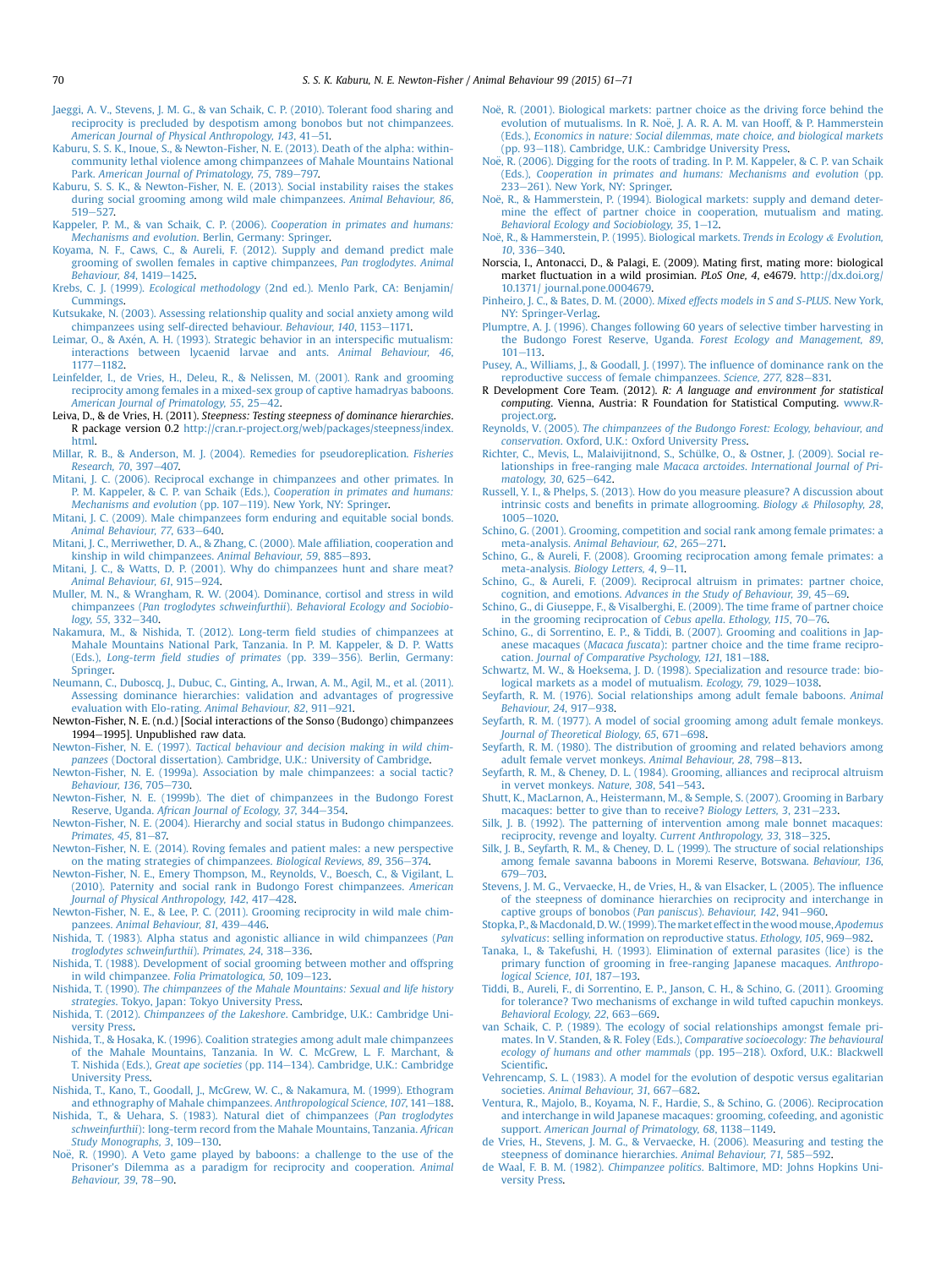- <span id="page-10-0"></span>[Jaeggi, A. V., Stevens, J. M. G., & van Schaik, C. P. \(2010\). Tolerant food sharing and](http://refhub.elsevier.com/S0003-3472(14)00404-7/sref45) [reciprocity is precluded by despotism among bonobos but not chimpanzees.](http://refhub.elsevier.com/S0003-3472(14)00404-7/sref45) [American Journal of Physical Anthropology, 143](http://refhub.elsevier.com/S0003-3472(14)00404-7/sref45), 41-[51.](http://refhub.elsevier.com/S0003-3472(14)00404-7/sref45)
- [Kaburu, S. S. K., Inoue, S., & Newton-Fisher, N. E. \(2013\). Death of the alpha: within](http://refhub.elsevier.com/S0003-3472(14)00404-7/sref46)[community lethal violence among chimpanzees of Mahale Mountains National](http://refhub.elsevier.com/S0003-3472(14)00404-7/sref46) Park. [American Journal of Primatology, 75](http://refhub.elsevier.com/S0003-3472(14)00404-7/sref46), 789–[797.](http://refhub.elsevier.com/S0003-3472(14)00404-7/sref46)
- [Kaburu, S. S. K., & Newton-Fisher, N. E. \(2013\). Social instability raises the stakes](http://refhub.elsevier.com/S0003-3472(14)00404-7/sref47) [during social grooming among wild male chimpanzees.](http://refhub.elsevier.com/S0003-3472(14)00404-7/sref47) Animal Behaviour, 86,  $519 - 527$  $519 - 527$
- [Kappeler, P. M., & van Schaik, C. P. \(2006\).](http://refhub.elsevier.com/S0003-3472(14)00404-7/sref48) Cooperation in primates and humans: Mechanisms and evolution[. Berlin, Germany: Springer.](http://refhub.elsevier.com/S0003-3472(14)00404-7/sref48) [Koyama, N. F., Caws, C., & Aureli, F. \(2012\). Supply and demand predict male](http://refhub.elsevier.com/S0003-3472(14)00404-7/sref49)
- [grooming of swollen females in captive chimpanzees,](http://refhub.elsevier.com/S0003-3472(14)00404-7/sref49) Pan troglodytes. Animal [Behaviour, 84](http://refhub.elsevier.com/S0003-3472(14)00404-7/sref49), 1419-[1425.](http://refhub.elsevier.com/S0003-3472(14)00404-7/sref49)
- Krebs, C. J. (1999). Ecological methodology [\(2nd ed.\). Menlo Park, CA: Benjamin/](http://refhub.elsevier.com/S0003-3472(14)00404-7/sref50) [Cummings](http://refhub.elsevier.com/S0003-3472(14)00404-7/sref50).
- [Kutsukake, N. \(2003\). Assessing relationship quality and social anxiety among wild](http://refhub.elsevier.com/S0003-3472(14)00404-7/sref51) [chimpanzees using self-directed behaviour.](http://refhub.elsevier.com/S0003-3472(14)00404-7/sref51) Behaviour, 140, 1153–[1171.](http://refhub.elsevier.com/S0003-3472(14)00404-7/sref51)
- [Leimar, O., & Ax](http://refhub.elsevier.com/S0003-3472(14)00404-7/sref52)é[n, A. H. \(1993\). Strategic behavior in an interspeci](http://refhub.elsevier.com/S0003-3472(14)00404-7/sref52)fic mutualism: [interactions between lycaenid larvae and ants.](http://refhub.elsevier.com/S0003-3472(14)00404-7/sref52) Animal Behaviour, 46, [1177](http://refhub.elsevier.com/S0003-3472(14)00404-7/sref52)-[1182](http://refhub.elsevier.com/S0003-3472(14)00404-7/sref52)
- [Leinfelder, I., de Vries, H., Deleu, R., & Nelissen, M. \(2001\). Rank and grooming](http://refhub.elsevier.com/S0003-3472(14)00404-7/sref53) [reciprocity among females in a mixed-sex group of captive hamadryas baboons.](http://refhub.elsevier.com/S0003-3472(14)00404-7/sref53) [American Journal of Primatology, 55](http://refhub.elsevier.com/S0003-3472(14)00404-7/sref53), 25-[42](http://refhub.elsevier.com/S0003-3472(14)00404-7/sref53).
- Leiva, D., & de Vries, H. (2011). Steepness: Testing steepness of dominance hierarchies. R package version 0.2 [http://cran.r-project.org/web/packages/steepness/index.](http://cran.r-project.org/web/packages/steepness/index.html) [html](http://cran.r-project.org/web/packages/steepness/index.html).
- [Millar, R. B., & Anderson, M. J. \(2004\). Remedies for pseudoreplication.](http://refhub.elsevier.com/S0003-3472(14)00404-7/sref55) Fisheries [Research, 70](http://refhub.elsevier.com/S0003-3472(14)00404-7/sref55), 397-[407.](http://refhub.elsevier.com/S0003-3472(14)00404-7/sref55)
- [Mitani, J. C. \(2006\). Reciprocal exchange in chimpanzees and other primates. In](http://refhub.elsevier.com/S0003-3472(14)00404-7/sref56) [P. M. Kappeler, & C. P. van Schaik \(Eds.\),](http://refhub.elsevier.com/S0003-3472(14)00404-7/sref56) Cooperation in primates and humans: [Mechanisms and evolution](http://refhub.elsevier.com/S0003-3472(14)00404-7/sref56) (pp. 107-[119\). New York, NY: Springer.](http://refhub.elsevier.com/S0003-3472(14)00404-7/sref56)
- [Mitani, J. C. \(2009\). Male chimpanzees form enduring and equitable social bonds.](http://refhub.elsevier.com/S0003-3472(14)00404-7/sref57) [Animal Behaviour, 77](http://refhub.elsevier.com/S0003-3472(14)00404-7/sref57), 633-[640.](http://refhub.elsevier.com/S0003-3472(14)00404-7/sref57)
- [Mitani, J. C., Merriwether, D. A., & Zhang, C. \(2000\). Male af](http://refhub.elsevier.com/S0003-3472(14)00404-7/sref58)filiation, cooperation and [kinship in wild chimpanzees.](http://refhub.elsevier.com/S0003-3472(14)00404-7/sref58) Animal Behaviour, 59, 885-[893](http://refhub.elsevier.com/S0003-3472(14)00404-7/sref58).
- [Mitani, J. C., & Watts, D. P. \(2001\). Why do chimpanzees hunt and share meat?](http://refhub.elsevier.com/S0003-3472(14)00404-7/sref59) [Animal Behaviour, 61](http://refhub.elsevier.com/S0003-3472(14)00404-7/sref59), 915-[924.](http://refhub.elsevier.com/S0003-3472(14)00404-7/sref59)
- [Muller, M. N., & Wrangham, R. W. \(2004\). Dominance, cortisol and stress in wild](http://refhub.elsevier.com/S0003-3472(14)00404-7/sref60) chimpanzees (Pan troglodytes schweinfurthii). [Behavioral Ecology and Sociobio](http://refhub.elsevier.com/S0003-3472(14)00404-7/sref60)[logy, 55](http://refhub.elsevier.com/S0003-3472(14)00404-7/sref60), 332-[340.](http://refhub.elsevier.com/S0003-3472(14)00404-7/sref60)
- [Nakamura, M., & Nishida, T. \(2012\). Long-term](http://refhub.elsevier.com/S0003-3472(14)00404-7/sref61) field studies of chimpanzees at [Mahale Mountains National Park, Tanzania. In P. M. Kappeler, & D. P. Watts](http://refhub.elsevier.com/S0003-3472(14)00404-7/sref61) (Eds.), Long-term fi[eld studies of primates](http://refhub.elsevier.com/S0003-3472(14)00404-7/sref61) (pp. 339-[356\). Berlin, Germany:](http://refhub.elsevier.com/S0003-3472(14)00404-7/sref61) [Springer](http://refhub.elsevier.com/S0003-3472(14)00404-7/sref61).
- [Neumann, C., Duboscq, J., Dubuc, C., Ginting, A., Irwan, A. M., Agil, M., et al. \(2011\).](http://refhub.elsevier.com/S0003-3472(14)00404-7/sref62) [Assessing dominance hierarchies: validation and advantages of progressive](http://refhub.elsevier.com/S0003-3472(14)00404-7/sref62) [evaluation with Elo-rating.](http://refhub.elsevier.com/S0003-3472(14)00404-7/sref62) Animal Behaviour, 82, 911-[921.](http://refhub.elsevier.com/S0003-3472(14)00404-7/sref62)
- Newton-Fisher, N. E. (n.d.) [Social interactions of the Sonso (Budongo) chimpanzees 1994-1995]. Unpublished raw data.
- Newton-Fisher, N. E. (1997). [Tactical behaviour and decision making in wild chim](http://refhub.elsevier.com/S0003-3472(14)00404-7/sref63)panzees [\(Doctoral dissertation\). Cambridge, U.K.: University of Cambridge.](http://refhub.elsevier.com/S0003-3472(14)00404-7/sref63)
- [Newton-Fisher, N. E. \(1999a\). Association by male chimpanzees: a social tactic?](http://refhub.elsevier.com/S0003-3472(14)00404-7/sref64) [Behaviour, 136](http://refhub.elsevier.com/S0003-3472(14)00404-7/sref64), 705-[730.](http://refhub.elsevier.com/S0003-3472(14)00404-7/sref64)
- [Newton-Fisher, N. E. \(1999b\). The diet of chimpanzees in the Budongo Forest](http://refhub.elsevier.com/S0003-3472(14)00404-7/sref65) Reserve, Uganda. [African Journal of Ecology, 37](http://refhub.elsevier.com/S0003-3472(14)00404-7/sref65), 344-[354](http://refhub.elsevier.com/S0003-3472(14)00404-7/sref65).
- [Newton-Fisher, N. E. \(2004\). Hierarchy and social status in Budongo chimpanzees.](http://refhub.elsevier.com/S0003-3472(14)00404-7/sref66) [Primates, 45](http://refhub.elsevier.com/S0003-3472(14)00404-7/sref66), 81-[87.](http://refhub.elsevier.com/S0003-3472(14)00404-7/sref66)
- [Newton-Fisher, N. E. \(2014\). Roving females and patient males: a new perspective](http://refhub.elsevier.com/S0003-3472(14)00404-7/sref67) [on the mating strategies of chimpanzees.](http://refhub.elsevier.com/S0003-3472(14)00404-7/sref67) Biological Reviews, 89, 356-[374](http://refhub.elsevier.com/S0003-3472(14)00404-7/sref67).
- [Newton-Fisher, N. E., Emery Thompson, M., Reynolds, V., Boesch, C., & Vigilant, L.](http://refhub.elsevier.com/S0003-3472(14)00404-7/sref68) [\(2010\). Paternity and social rank in Budongo Forest chimpanzees.](http://refhub.elsevier.com/S0003-3472(14)00404-7/sref68) American [Journal of Physical Anthropology, 142](http://refhub.elsevier.com/S0003-3472(14)00404-7/sref68), 417-[428](http://refhub.elsevier.com/S0003-3472(14)00404-7/sref68).
- [Newton-Fisher, N. E., & Lee, P. C. \(2011\). Grooming reciprocity in wild male chim-](http://refhub.elsevier.com/S0003-3472(14)00404-7/sref69)panzees. [Animal Behaviour, 81](http://refhub.elsevier.com/S0003-3472(14)00404-7/sref69), 439-[446.](http://refhub.elsevier.com/S0003-3472(14)00404-7/sref69)
- [Nishida, T. \(1983\). Alpha status and agonistic alliance in wild chimpanzees \(](http://refhub.elsevier.com/S0003-3472(14)00404-7/sref70)Pan [troglodytes schweinfurthii](http://refhub.elsevier.com/S0003-3472(14)00404-7/sref70)). Primates, 24, 318-[336.](http://refhub.elsevier.com/S0003-3472(14)00404-7/sref70)
- [Nishida, T. \(1988\). Development of social grooming between mother and offspring](http://refhub.elsevier.com/S0003-3472(14)00404-7/sref71) in wild chimpanzee. [Folia Primatologica, 50](http://refhub.elsevier.com/S0003-3472(14)00404-7/sref71), 109-[123.](http://refhub.elsevier.com/S0003-3472(14)00404-7/sref71)
- Nishida, T. (1990). [The chimpanzees of the Mahale Mountains: Sexual and life history](http://refhub.elsevier.com/S0003-3472(14)00404-7/sref72) strategies[. Tokyo, Japan: Tokyo University Press.](http://refhub.elsevier.com/S0003-3472(14)00404-7/sref72)
- Nishida, T. (2012). Chimpanzees of the Lakeshore[. Cambridge, U.K.: Cambridge Uni](http://refhub.elsevier.com/S0003-3472(14)00404-7/sref73)[versity Press](http://refhub.elsevier.com/S0003-3472(14)00404-7/sref73).
- [Nishida, T., & Hosaka, K. \(1996\). Coalition strategies among adult male chimpanzees](http://refhub.elsevier.com/S0003-3472(14)00404-7/sref74) [of the Mahale Mountains, Tanzania. In W. C. McGrew, L. F. Marchant, &](http://refhub.elsevier.com/S0003-3472(14)00404-7/sref74) T. Nishida (Eds.), [Great ape societies](http://refhub.elsevier.com/S0003-3472(14)00404-7/sref74) (pp. 114-[134\). Cambridge, U.K.: Cambridge](http://refhub.elsevier.com/S0003-3472(14)00404-7/sref74) [University Press](http://refhub.elsevier.com/S0003-3472(14)00404-7/sref74).
- [Nishida, T., Kano, T., Goodall, J., McGrew, W. C., & Nakamura, M. \(1999\). Ethogram](http://refhub.elsevier.com/S0003-3472(14)00404-7/sref75) [and ethnography of Mahale chimpanzees.](http://refhub.elsevier.com/S0003-3472(14)00404-7/sref75) Anthropological Science, 107, 141-[188](http://refhub.elsevier.com/S0003-3472(14)00404-7/sref75).
- [Nishida, T., & Uehara, S. \(1983\). Natural diet of chimpanzees \(](http://refhub.elsevier.com/S0003-3472(14)00404-7/sref76)Pan troglodytes schweinfurthii[\): long-term record from the Mahale Mountains, Tanzania.](http://refhub.elsevier.com/S0003-3472(14)00404-7/sref76) African [Study Monographs, 3](http://refhub.elsevier.com/S0003-3472(14)00404-7/sref76), 109-[130.](http://refhub.elsevier.com/S0003-3472(14)00404-7/sref76)
- [No](http://refhub.elsevier.com/S0003-3472(14)00404-7/sref77)ë[, R. \(1990\). A Veto game played by baboons: a challenge to the use of the](http://refhub.elsevier.com/S0003-3472(14)00404-7/sref77) [Prisoner's Dilemma as a paradigm for reciprocity and cooperation.](http://refhub.elsevier.com/S0003-3472(14)00404-7/sref77) Animal [Behaviour, 39](http://refhub.elsevier.com/S0003-3472(14)00404-7/sref77), 78-[90.](http://refhub.elsevier.com/S0003-3472(14)00404-7/sref77)
- [No](http://refhub.elsevier.com/S0003-3472(14)00404-7/sref78)ë[, R. \(2001\). Biological markets: partner choice as the driving force behind the](http://refhub.elsevier.com/S0003-3472(14)00404-7/sref78) evolution of mutualisms. In R. Noë, J. A. R. A. M. van Hooff, & P. Hammerstein (Eds.), [Economics in nature: Social dilemmas, mate choice, and biological markets](http://refhub.elsevier.com/S0003-3472(14)00404-7/sref78) (pp.  $93-118$ ). Cambridge, U.K.: Cambridge University Press.
- [No](http://refhub.elsevier.com/S0003-3472(14)00404-7/sref79)ë[, R. \(2006\). Digging for the roots of trading. In P. M. Kappeler, & C. P. van Schaik](http://refhub.elsevier.com/S0003-3472(14)00404-7/sref79) (Eds.), [Cooperation in primates and humans: Mechanisms and evolution](http://refhub.elsevier.com/S0003-3472(14)00404-7/sref79) (pp.  $233-261$  $233-261$ ). New York, NY: Springer.
- [No](http://refhub.elsevier.com/S0003-3472(14)00404-7/sref80)ë[, R., & Hammerstein, P. \(1994\). Biological markets: supply and demand deter](http://refhub.elsevier.com/S0003-3472(14)00404-7/sref80) [mine the effect of partner choice in cooperation, mutualism and mating.](http://refhub.elsevier.com/S0003-3472(14)00404-7/sref80) [Behavioral Ecology and Sociobiology, 35](http://refhub.elsevier.com/S0003-3472(14)00404-7/sref80),  $1-\overline{12}$ .
- [No](http://refhub.elsevier.com/S0003-3472(14)00404-7/sref81)ë[, R., & Hammerstein, P. \(1995\). Biological markets.](http://refhub.elsevier.com/S0003-3472(14)00404-7/sref81) Trends in Ecology & [Evolution,](http://refhub.elsevier.com/S0003-3472(14)00404-7/sref81)  $10.336 - 340.$  $10.336 - 340.$  $10.336 - 340.$
- Norscia, I., Antonacci, D., & Palagi, E. (2009). Mating first, mating more: biological market fluctuation in a wild prosimian. PLoS One, 4, e4679. [http://dx.doi.org/](http://dx.doi.org/10.1371/ journal.pone.0004679) [10.1371/ journal.pone.0004679.](http://dx.doi.org/10.1371/ journal.pone.0004679)
- [Pinheiro, J. C., & Bates, D. M. \(2000\).](http://refhub.elsevier.com/S0003-3472(14)00404-7/sref83) Mixed effects models in S and S-PLUS. New York, [NY: Springer-Verlag.](http://refhub.elsevier.com/S0003-3472(14)00404-7/sref83)
- [Plumptre, A. J. \(1996\). Changes following 60 years of selective timber harvesting in](http://refhub.elsevier.com/S0003-3472(14)00404-7/sref84) [the Budongo Forest Reserve, Uganda.](http://refhub.elsevier.com/S0003-3472(14)00404-7/sref84) Forest Ecology and Management, 89,  $101 - 113$  $101 - 113$  $101 - 113$ .
- [Pusey, A., Williams, J., & Goodall, J. \(1997\). The in](http://refhub.elsevier.com/S0003-3472(14)00404-7/sref85)fluence of dominance rank on the [reproductive success of female chimpanzees.](http://refhub.elsevier.com/S0003-3472(14)00404-7/sref85) Science, 277, 828-[831.](http://refhub.elsevier.com/S0003-3472(14)00404-7/sref85)
- R Development Core Team. (2012). R: A language and environment for statistical computing. Vienna, Austria: R Foundation for Statistical Computing. [www.R](http://www.R-project.org)[project.org.](http://www.R-project.org)
- Reynolds, V. (2005). [The chimpanzees of the Budongo Forest: Ecology, behaviour, and](http://refhub.elsevier.com/S0003-3472(14)00404-7/sref87)
- conservation[. Oxford, U.K.: Oxford University Press](http://refhub.elsevier.com/S0003-3472(14)00404-7/sref87). [Richter, C., Mevis, L., Malaivijitnond, S., Schülke, O., & Ostner, J. \(2009\). Social re](http://refhub.elsevier.com/S0003-3472(14)00404-7/sref88)[lationships in free-ranging male](http://refhub.elsevier.com/S0003-3472(14)00404-7/sref88) Macaca arctoides. International Journal of Pri[matology, 30](http://refhub.elsevier.com/S0003-3472(14)00404-7/sref88), 625-[642](http://refhub.elsevier.com/S0003-3472(14)00404-7/sref88).
- [Russell, Y. I., & Phelps, S. \(2013\). How do you measure pleasure? A discussion about](http://refhub.elsevier.com/S0003-3472(14)00404-7/sref89) intrinsic costs and benefi[ts in primate allogrooming.](http://refhub.elsevier.com/S0003-3472(14)00404-7/sref89) Biology & [Philosophy, 28](http://refhub.elsevier.com/S0003-3472(14)00404-7/sref89), [1005](http://refhub.elsevier.com/S0003-3472(14)00404-7/sref89)-[1020](http://refhub.elsevier.com/S0003-3472(14)00404-7/sref89)
- [Schino, G. \(2001\). Grooming, competition and social rank among female primates: a](http://refhub.elsevier.com/S0003-3472(14)00404-7/sref90) meta-analysis. [Animal Behaviour, 62](http://refhub.elsevier.com/S0003-3472(14)00404-7/sref90), 265-[271.](http://refhub.elsevier.com/S0003-3472(14)00404-7/sref90)
- [Schino, G., & Aureli, F. \(2008\). Grooming reciprocation among female primates: a](http://refhub.elsevier.com/S0003-3472(14)00404-7/sref91) meta-analysis. [Biology Letters, 4](http://refhub.elsevier.com/S0003-3472(14)00404-7/sref91), 9-[11.](http://refhub.elsevier.com/S0003-3472(14)00404-7/sref91)
- [Schino, G., & Aureli, F. \(2009\). Reciprocal altruism in primates: partner choice,](http://refhub.elsevier.com/S0003-3472(14)00404-7/sref92) cognition, and emotions. [Advances in the Study of Behaviour, 39](http://refhub.elsevier.com/S0003-3472(14)00404-7/sref92), 45-[69.](http://refhub.elsevier.com/S0003-3472(14)00404-7/sref92)
- [Schino, G., di Giuseppe, F., & Visalberghi, E. \(2009\). The time frame of partner choice](http://refhub.elsevier.com/S0003-3472(14)00404-7/sref93) [in the grooming reciprocation of](http://refhub.elsevier.com/S0003-3472(14)00404-7/sref93) Cebus apella. Ethology, 115, 70-[76.](http://refhub.elsevier.com/S0003-3472(14)00404-7/sref93)
- [Schino, G., di Sorrentino, E. P., & Tiddi, B. \(2007\). Grooming and coalitions in Jap](http://refhub.elsevier.com/S0003-3472(14)00404-7/sref94)anese macaques (Macaca fuscata[\): partner choice and the time frame recipro-](http://refhub.elsevier.com/S0003-3472(14)00404-7/sref94)cation. [Journal of Comparative Psychology, 121](http://refhub.elsevier.com/S0003-3472(14)00404-7/sref94), 181-[188.](http://refhub.elsevier.com/S0003-3472(14)00404-7/sref94)
- [Schwartz, M. W., & Hoeksema, J. D. \(1998\). Specialization and resource trade: bio](http://refhub.elsevier.com/S0003-3472(14)00404-7/sref95)[logical markets as a model of mutualism.](http://refhub.elsevier.com/S0003-3472(14)00404-7/sref95) Ecology, 79, 1029-[1038](http://refhub.elsevier.com/S0003-3472(14)00404-7/sref95).
- [Seyfarth, R. M. \(1976\). Social relationships among adult female baboons.](http://refhub.elsevier.com/S0003-3472(14)00404-7/sref96) Animal [Behaviour, 24](http://refhub.elsevier.com/S0003-3472(14)00404-7/sref96), 917-[938](http://refhub.elsevier.com/S0003-3472(14)00404-7/sref96).
- [Seyfarth, R. M. \(1977\). A model of social grooming among adult female monkeys.](http://refhub.elsevier.com/S0003-3472(14)00404-7/sref97) [Journal of Theoretical Biology, 65](http://refhub.elsevier.com/S0003-3472(14)00404-7/sref97), 671-[698.](http://refhub.elsevier.com/S0003-3472(14)00404-7/sref97)
- [Seyfarth, R. M. \(1980\). The distribution of grooming and related behaviors among](http://refhub.elsevier.com/S0003-3472(14)00404-7/sref98) [adult female vervet monkeys.](http://refhub.elsevier.com/S0003-3472(14)00404-7/sref98) Animal Behaviour, 28, 798-[813](http://refhub.elsevier.com/S0003-3472(14)00404-7/sref98).
- [Seyfarth, R. M., & Cheney, D. L. \(1984\). Grooming, alliances and reciprocal altruism](http://refhub.elsevier.com/S0003-3472(14)00404-7/sref99) [in vervet monkeys.](http://refhub.elsevier.com/S0003-3472(14)00404-7/sref99) Nature,  $308, 541-543$  $308, 541-543$ .
- [Shutt, K., MacLarnon, A., Heistermann, M., & Semple, S. \(2007\). Grooming in Barbary](http://refhub.elsevier.com/S0003-3472(14)00404-7/sref100) [macaques: better to give than to receive?](http://refhub.elsevier.com/S0003-3472(14)00404-7/sref100) Biology Letters, 3, 231-[233](http://refhub.elsevier.com/S0003-3472(14)00404-7/sref100).
- [Silk, J. B. \(1992\). The patterning of intervention among male bonnet macaques:](http://refhub.elsevier.com/S0003-3472(14)00404-7/sref101) [reciprocity, revenge and loyalty.](http://refhub.elsevier.com/S0003-3472(14)00404-7/sref101) Current Anthropology, 33, 318-[325](http://refhub.elsevier.com/S0003-3472(14)00404-7/sref101).
- [Silk, J. B., Seyfarth, R. M., & Cheney, D. L. \(1999\). The structure of](http://refhub.elsevier.com/S0003-3472(14)00404-7/sref102) social relationships [among female savanna baboons in Moremi Reserve, Botswana.](http://refhub.elsevier.com/S0003-3472(14)00404-7/sref102) Behaviour, 136,  $679 - 703$  $679 - 703$
- [Stevens, J. M. G., Vervaecke, H., de Vries, H., & van Elsacker, L. \(2005\). The in](http://refhub.elsevier.com/S0003-3472(14)00404-7/sref103)fluence [of the steepness of dominance hierarchies on reciprocity and interchange in](http://refhub.elsevier.com/S0003-3472(14)00404-7/sref103) [captive groups of bonobos \(](http://refhub.elsevier.com/S0003-3472(14)00404-7/sref103)Pan paniscus). Behaviour, 142, 941-[960.](http://refhub.elsevier.com/S0003-3472(14)00404-7/sref103)
- Stopka, P., & Macdonald, D.W. (1999). The market effect in the wood mouse, Apodemus sylvaticus[: selling information on reproductive status.](http://refhub.elsevier.com/S0003-3472(14)00404-7/sref104) Ethology, 105, 969-[982.](http://refhub.elsevier.com/S0003-3472(14)00404-7/sref104)
- [Tanaka, I., & Takefushi, H. \(1993\). Elimination of external parasites \(lice\) is the](http://refhub.elsevier.com/S0003-3472(14)00404-7/sref105) [primary function of grooming in free-ranging Japanese macaques.](http://refhub.elsevier.com/S0003-3472(14)00404-7/sref105) Anthropo $logical$  Science, 101, 187-[193.](http://refhub.elsevier.com/S0003-3472(14)00404-7/sref105)
- [Tiddi, B., Aureli, F., di Sorrentino, E. P., Janson, C. H., & Schino, G. \(2011\). Grooming](http://refhub.elsevier.com/S0003-3472(14)00404-7/sref106) [for tolerance? Two mechanisms of exchange in wild tufted capuchin monkeys.](http://refhub.elsevier.com/S0003-3472(14)00404-7/sref106) [Behavioral Ecology, 22](http://refhub.elsevier.com/S0003-3472(14)00404-7/sref106), 663-[669](http://refhub.elsevier.com/S0003-3472(14)00404-7/sref106).
- [van Schaik, C. P. \(1989\). The ecology of social relationships amongst female pri](http://refhub.elsevier.com/S0003-3472(14)00404-7/sref107)mates. In V. Standen, & R. Foley (Eds.), [Comparative socioecology: The behavioural](http://refhub.elsevier.com/S0003-3472(14)00404-7/sref107) [ecology of humans and other mammals](http://refhub.elsevier.com/S0003-3472(14)00404-7/sref107) (pp. 195-[218\). Oxford, U.K.: Blackwell](http://refhub.elsevier.com/S0003-3472(14)00404-7/sref107) [Scienti](http://refhub.elsevier.com/S0003-3472(14)00404-7/sref107)fic.
- [Vehrencamp, S. L. \(1983\). A model for the evolution of despotic versus egalitarian](http://refhub.elsevier.com/S0003-3472(14)00404-7/sref108) societies. [Animal Behaviour, 31](http://refhub.elsevier.com/S0003-3472(14)00404-7/sref108), 667-[682](http://refhub.elsevier.com/S0003-3472(14)00404-7/sref108).
- [Ventura, R., Majolo, B., Koyama, N. F., Hardie, S., & Schino, G. \(2006\). Reciprocation](http://refhub.elsevier.com/S0003-3472(14)00404-7/sref109) [and interchange in wild Japanese macaques: grooming, cofeeding, and agonistic](http://refhub.elsevier.com/S0003-3472(14)00404-7/sref109) support. [American Journal of Primatology, 68](http://refhub.elsevier.com/S0003-3472(14)00404-7/sref109), 1138-[1149.](http://refhub.elsevier.com/S0003-3472(14)00404-7/sref109)
- [de Vries, H., Stevens, J. M. G., & Vervaecke, H. \(2006\). Measuring and testing the](http://refhub.elsevier.com/S0003-3472(14)00404-7/sref110) [steepness of dominance hierarchies.](http://refhub.elsevier.com/S0003-3472(14)00404-7/sref110) Animal Behaviour, 71, 585-[592](http://refhub.elsevier.com/S0003-3472(14)00404-7/sref110).
- de Waal, F. B. M. (1982). Chimpanzee politics[. Baltimore, MD: Johns Hopkins Uni](http://refhub.elsevier.com/S0003-3472(14)00404-7/sref111)[versity Press](http://refhub.elsevier.com/S0003-3472(14)00404-7/sref111).